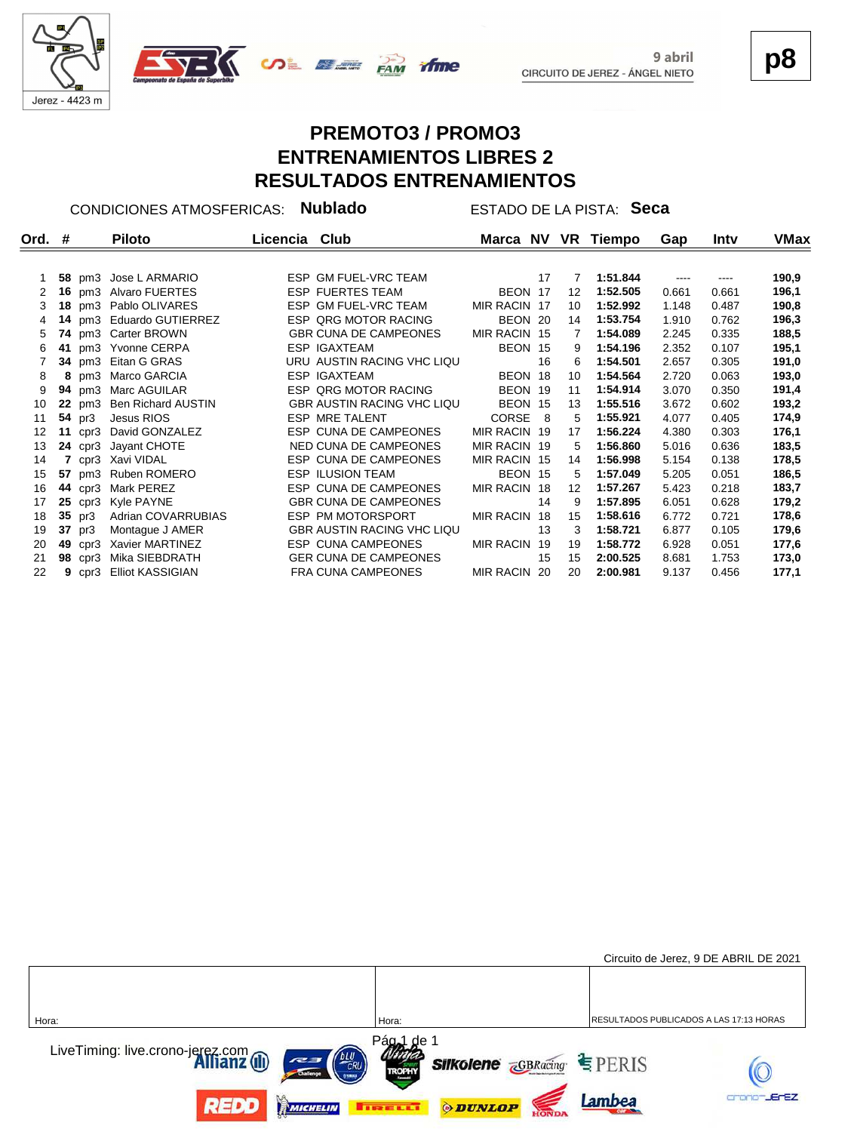



**p8**

#### **PREMOTO3 / PROMO3 ENTRENAMIENTOS LIBRES 2 RESULTADOS ENTRENAMIENTOS**

CONDICIONES ATMOSFERICAS: **Nublado** ESTADO DE LA PISTA: **Seca**

| Ord. $#$ |                | Piloto                    | Licencia Club |                                   |              |    |                   | Marca NV VR Tiempo | Gap   | Intv  | VMax  |
|----------|----------------|---------------------------|---------------|-----------------------------------|--------------|----|-------------------|--------------------|-------|-------|-------|
|          |                |                           |               |                                   |              |    |                   |                    |       |       |       |
|          |                | 58 pm3 Jose L ARMARIO     |               | ESP GM FUEL-VRC TEAM              |              | 17 | 7                 | 1:51.844           |       | ----  | 190,9 |
| 2        |                | 16 pm3 Alvaro FUERTES     |               | <b>ESP FUERTES TEAM</b>           | BEON 17      |    | 12                | 1:52.505           | 0.661 | 0.661 | 196,1 |
| 3        |                | 18 pm3 Pablo OLIVARES     |               | ESP GM FUEL-VRC TEAM              | MIR RACIN 17 |    | 10                | 1:52.992           | 1.148 | 0.487 | 190,8 |
|          |                | 14 pm3 Eduardo GUTIERREZ  |               | ESP QRG MOTOR RACING              | BEON 20      |    | 14                | 1:53.754           | 1.910 | 0.762 | 196,3 |
| 5        |                | 74 pm3 Carter BROWN       |               | <b>GBR CUNA DE CAMPEONES</b>      | MIR RACIN 15 |    | 7                 | 1:54.089           | 2.245 | 0.335 | 188,5 |
| 6        |                | 41 pm3 Yvonne CERPA       |               | <b>ESP IGAXTEAM</b>               | BEON 15      |    | 9                 | 1:54.196           | 2.352 | 0.107 | 195,1 |
|          |                | 34 pm3 Eitan G GRAS       |               | URU AUSTIN RACING VHC LIQU        |              | 16 | 6                 | 1:54.501           | 2.657 | 0.305 | 191,0 |
| 8        |                | 8 pm3 Marco GARCIA        |               | <b>ESP IGAXTEAM</b>               | BEON 18      |    | 10                | 1:54.564           | 2.720 | 0.063 | 193,0 |
| 9        |                | 94 pm3 Marc AGUILAR       |               | <b>ESP QRG MOTOR RACING</b>       | BEON 19      |    | 11                | 1:54.914           | 3.070 | 0.350 | 191,4 |
| 10       |                | 22 pm3 Ben Richard AUSTIN |               | <b>GBR AUSTIN RACING VHC LIQU</b> | BEON 15      |    | 13                | 1:55.516           | 3.672 | 0.602 | 193,2 |
| 11       | <b>54</b> pr3  | Jesus RIOS                |               | ESP MRE TALENT                    | CORSE 8      |    | 5                 | 1:55.921           | 4.077 | 0.405 | 174,9 |
| 12       |                | 11 cpr3 David GONZALEZ    |               | ESP CUNA DE CAMPEONES             | MIR RACIN 19 |    | 17                | 1:56.224           | 4.380 | 0.303 | 176,1 |
| 13       |                | 24 cpr3 Jayant CHOTE      |               | NED CUNA DE CAMPEONES             | MIR RACIN 19 |    | 5                 | 1:56.860           | 5.016 | 0.636 | 183,5 |
| 14       |                | 7 cpr3 Xavi VIDAL         |               | ESP CUNA DE CAMPEONES             | MIR RACIN 15 |    | 14                | 1:56.998           | 5.154 | 0.138 | 178,5 |
| 15       |                | 57 pm3 Ruben ROMERO       |               | <b>ESP ILUSION TEAM</b>           | BEON 15      |    | 5                 | 1:57.049           | 5.205 | 0.051 | 186,5 |
| 16       |                | 44 cpr3 Mark PEREZ        |               | ESP CUNA DE CAMPEONES             | MIR RACIN 18 |    | $12 \overline{ }$ | 1:57.267           | 5.423 | 0.218 | 183,7 |
| 17       |                | 25 cpr3 Kyle PAYNE        |               | <b>GBR CUNA DE CAMPEONES</b>      |              | 14 | 9                 | 1:57.895           | 6.051 | 0.628 | 179,2 |
| 18       | $35$ pr3       | Adrian COVARRUBIAS        |               | ESP PM MOTORSPORT                 | MIR RACIN 18 |    | 15                | 1:58.616           | 6.772 | 0.721 | 178,6 |
| 19       | 37 pr3         | Montague J AMER           |               | <b>GBR AUSTIN RACING VHC LIQU</b> |              | 13 | 3                 | 1:58.721           | 6.877 | 0.105 | 179,6 |
| 20       | <b>49</b> cpr3 | Xavier MARTINEZ           |               | <b>ESP CUNA CAMPEONES</b>         | MIR RACIN 19 |    | 19                | 1:58.772           | 6.928 | 0.051 | 177,6 |
| 21       | <b>98</b> cpr3 | Mika SIEBDRATH            |               | <b>GER CUNA DE CAMPEONES</b>      |              | 15 | 15                | 2:00.525           | 8.681 | 1.753 | 173,0 |
| 22       | $9$ cpr3       | <b>Elliot KASSIGIAN</b>   |               | <b>FRA CUNA CAMPEONES</b>         | MIR RACIN 20 |    | 20                | 2:00.981           | 9.137 | 0.456 | 177,1 |

|                                                                                                                                                       |                                                                                                                    | Circuito de Jerez, 9 DE ABRIL DE 2021           |
|-------------------------------------------------------------------------------------------------------------------------------------------------------|--------------------------------------------------------------------------------------------------------------------|-------------------------------------------------|
|                                                                                                                                                       |                                                                                                                    |                                                 |
| Hora:                                                                                                                                                 | Hora:                                                                                                              | <b>IRESULTADOS PUBLICADOS A LAS 17:13 HORAS</b> |
| LiveTiming: live.crono-jerez.com<br><b>Allianz</b> (III)<br>$\overline{=}$ $\left(\begin{array}{c} bLU \\ \hline CRU \end{array}\right)$<br>Challenge | Pág <sub>al</sub><br>de 1<br><b>Silkolene <i><u>GBRacing</u> SILKOlene ZGBRacing SILKOLEN</i></b><br><b>TROPHY</b> |                                                 |
| MICHELIN                                                                                                                                              | <b><i>ODUNLOP</i></b><br><b>THE EXET</b>                                                                           | <b>IOTUENEZ</b><br>Lambea                       |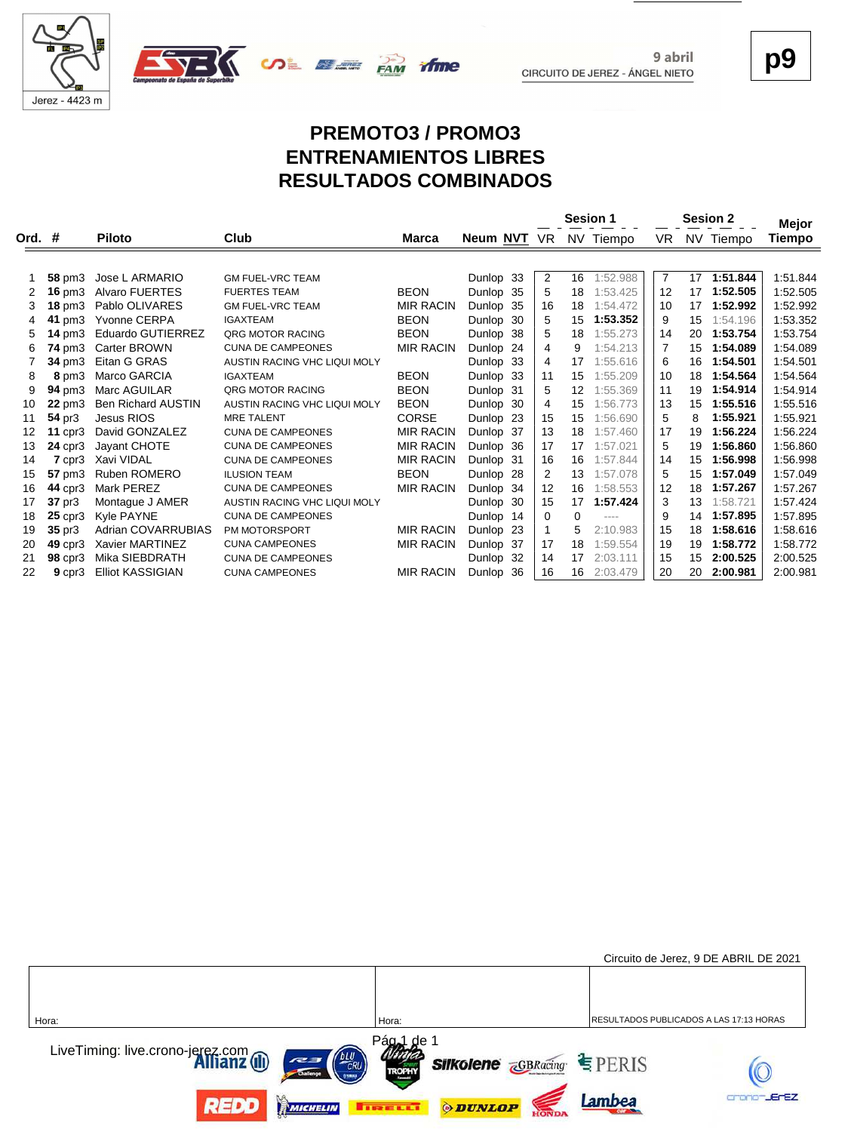





**p9**

## **PREMOTO3 / PROMO3 ENTRENAMIENTOS LIBRES RESULTADOS COMBINADOS**

**COL BEE PAN TIME** 

|        |                   |                           |                              |                  |           | <b>Sesion 1</b> |                   |              | <b>Sesion 2</b> |    |           | Mejor    |
|--------|-------------------|---------------------------|------------------------------|------------------|-----------|-----------------|-------------------|--------------|-----------------|----|-----------|----------|
| Ord. # |                   | <b>Piloto</b>             | Club                         | Marca            | Neum NVT  |                 |                   | VR NV Tiempo | VR.             |    | NV Tiempo | Tiempo   |
|        |                   |                           |                              |                  |           |                 |                   |              |                 |    |           |          |
|        | 58 pm3            | Jose L ARMARIO            | <b>GM FUEL-VRC TEAM</b>      |                  | Dunlop 33 | $\overline{2}$  | 16                | 1:52.988     | $\overline{7}$  | 17 | 1:51.844  | 1:51.844 |
| 2      | $16 \text{ pm}3$  | <b>Alvaro FUERTES</b>     | <b>FUERTES TEAM</b>          | <b>BEON</b>      | Dunlop 35 | 5               | 18                | 1:53.425     | 12              | 17 | 1:52.505  | 1:52.505 |
| 3      | $18 \text{ pm}3$  | Pablo OLIVARES            | <b>GM FUEL-VRC TEAM</b>      | <b>MIR RACIN</b> | Dunlop 35 | 16              | 18                | 1:54.472     | 10              | 17 | 1:52.992  | 1:52.992 |
|        | 41 pm3            | Yvonne CERPA              | <b>IGAXTEAM</b>              | <b>BEON</b>      | Dunlop 30 | 5               | 15                | 1:53.352     | 9               | 15 | 1:54.196  | 1:53.352 |
| 5      | $14 \text{ pm}3$  | Eduardo GUTIERREZ         | <b>QRG MOTOR RACING</b>      | <b>BEON</b>      | Dunlop 38 | 5               | 18                | 1:55.273     | 14              | 20 | 1:53.754  | 1:53.754 |
| 6      | <b>74 pm3</b>     | Carter BROWN              | <b>CUNA DE CAMPEONES</b>     | <b>MIR RACIN</b> | Dunlop 24 | 4               | 9                 | 1:54.213     | 7               | 15 | 1:54.089  | 1:54.089 |
|        | 34 pm3            | Eitan G GRAS              | AUSTIN RACING VHC LIQUI MOLY |                  | Dunlop 33 | 4               | 17                | 1:55.616     | 6               | 16 | 1:54.501  | 1:54.501 |
| 8      | $8 \text{ pm}3$   | Marco GARCIA              | <b>IGAXTEAM</b>              | <b>BEON</b>      | Dunlop 33 | 11              | 15                | 1:55.209     | 10              | 18 | 1:54.564  | 1:54.564 |
| 9      | 94 pm3            | Marc AGUILAR              | <b>QRG MOTOR RACING</b>      | <b>BEON</b>      | Dunlop 31 | 5               | $12 \overline{ }$ | 1:55.369     | 11              | 19 | 1:54.914  | 1:54.914 |
| 10     | <b>22 pm3</b>     | <b>Ben Richard AUSTIN</b> | AUSTIN RACING VHC LIQUI MOLY | <b>BEON</b>      | Dunlop 30 | 4               | 15                | 1:56.773     | 13              | 15 | 1:55.516  | 1:55.516 |
| 11     | 54 pr3            | Jesus RIOS                | <b>MRE TALENT</b>            | CORSE            | Dunlop 23 | 15              | 15                | 1:56.690     | 5               | 8  | 1:55.921  | 1:55.921 |
| 12     | 11 $cpr3$         | David GONZALEZ            | <b>CUNA DE CAMPEONES</b>     | <b>MIR RACIN</b> | Dunlop 37 | 13              | 18                | 1:57.460     | 17              | 19 | 1:56.224  | 1:56.224 |
| 13     | $24$ cpr $3$      | Jayant CHOTE              | <b>CUNA DE CAMPEONES</b>     | <b>MIR RACIN</b> | Dunlop 36 | 17              | 17                | 1:57.021     | 5               | 19 | 1:56.860  | 1:56.860 |
| 14     | 7 cpr3            | Xavi VIDAL                | <b>CUNA DE CAMPEONES</b>     | <b>MIR RACIN</b> | Dunlop 31 | 16              | 16                | 1:57.844     | 14              | 15 | 1:56.998  | 1:56.998 |
| 15     | 57 pm3            | <b>Ruben ROMERO</b>       | <b>ILUSION TEAM</b>          | <b>BEON</b>      | Dunlop 28 | 2               | 13                | 1:57.078     | 5               | 15 | 1:57.049  | 1:57.049 |
| 16     | <b>44 cpr3</b>    | Mark PEREZ                | <b>CUNA DE CAMPEONES</b>     | <b>MIR RACIN</b> | Dunlop 34 | 12              | 16                | 1:58.553     | 12              | 18 | 1:57.267  | 1:57.267 |
| 17     | 37 pr3            | Montaque J AMER           | AUSTIN RACING VHC LIQUI MOLY |                  | Dunlop 30 | 15              | 17                | 1:57.424     | 3               | 13 | 1:58.721  | 1:57.424 |
| 18     | $25$ cpr3         | <b>Kyle PAYNE</b>         | <b>CUNA DE CAMPEONES</b>     |                  | Dunlop 14 | $\Omega$        | $\Omega$          | $- - - -$    | 9               | 14 | 1:57.895  | 1:57.895 |
| 19     | 35 <sub>pr3</sub> | Adrian COVARRUBIAS        | PM MOTORSPORT                | <b>MIR RACIN</b> | Dunlop 23 | $\mathbf 1$     | 5                 | 2:10.983     | 15              | 18 | 1:58.616  | 1:58.616 |
| 20     | $49$ cpr $3$      | Xavier MARTINEZ           | <b>CUNA CAMPEONES</b>        | <b>MIR RACIN</b> | Dunlop 37 | 17              | 18                | 1:59.554     | 19              | 19 | 1:58.772  | 1:58.772 |
| 21     | <b>98 cpr3</b>    | Mika SIEBDRATH            | <b>CUNA DE CAMPEONES</b>     |                  | Dunlop 32 | 14              | 17                | 2:03.111     | 15              | 15 | 2:00.525  | 2:00.525 |
| 22     | $9$ cpr $3$       | <b>Elliot KASSIGIAN</b>   | <b>CUNA CAMPEONES</b>        | <b>MIR RACIN</b> | Dunlop 36 | 16              | 16                | 2:03.479     | 20              | 20 | 2:00.981  | 2:00.981 |

|                                                                                                |                                                                                 | Circuito de Jerez, 9 DE ABRIL DE 2021           |
|------------------------------------------------------------------------------------------------|---------------------------------------------------------------------------------|-------------------------------------------------|
| Hora:                                                                                          | Hora:                                                                           | <b>IRESULTADOS PUBLICADOS A LAS 17:13 HORAS</b> |
| LiveTiming: live.crono-jerez.com<br><b>Allianz</b> (III)<br>$\overline{C}$<br><b>Challenge</b> | Pág <sub>a</sub> 1<br>de 1<br><b>Silkolene GBRacing SPERIS</b><br><b>TROPHY</b> |                                                 |
| REDD<br>MICHELIN                                                                               | <b>ODUNLOP</b><br><b>TRELL</b>                                                  | -JErEZ<br>Lambea                                |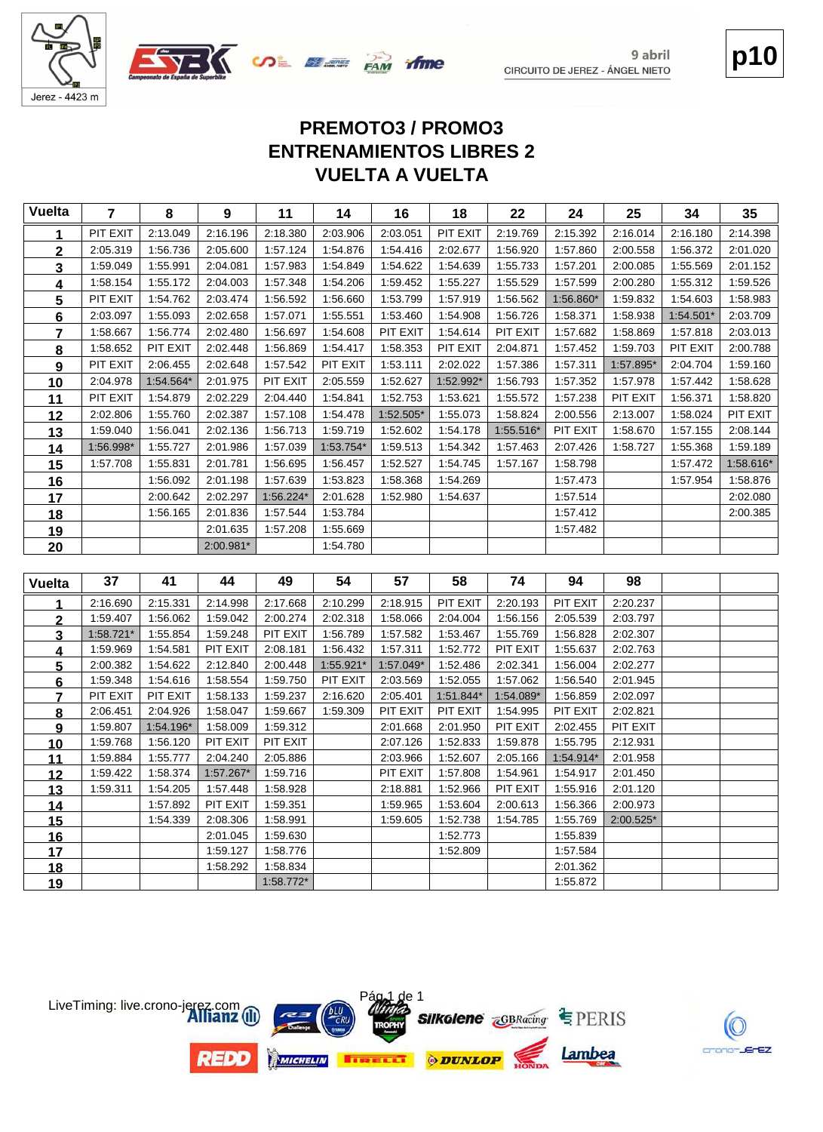





crono-JErEZ

# **VUELTA A VUELTA ENTRENAMIENTOS LIBRES 2 PREMOTO3 / PROMO3**

| Vuelta          | 7                    | 8                    | $\boldsymbol{9}$      | 11                   | 14          | 16                   | 18                   | 22                   | 24                   | 25                   | 34        | 35        |
|-----------------|----------------------|----------------------|-----------------------|----------------------|-------------|----------------------|----------------------|----------------------|----------------------|----------------------|-----------|-----------|
| 1               | PIT EXIT             | 2:13.049             | 2:16.196              | 2:18.380             | 2:03.906    | 2:03.051             | PIT EXIT             | 2:19.769             | 2:15.392             | 2:16.014             | 2:16.180  | 2:14.398  |
| $\mathbf 2$     | 2:05.319             | 1:56.736             | 2:05.600              | 1:57.124             | 1:54.876    | 1:54.416             | 2:02.677             | 1:56.920             | 1:57.860             | 2:00.558             | 1:56.372  | 2:01.020  |
| 3               | 1:59.049             | 1:55.991             | 2:04.081              | 1:57.983             | 1:54.849    | 1:54.622             | 1:54.639             | 1:55.733             | 1:57.201             | 2:00.085             | 1:55.569  | 2:01.152  |
| 4               | 1:58.154             | 1:55.172             | 2:04.003              | 1:57.348             | 1:54.206    | 1:59.452             | 1:55.227             | 1:55.529             | 1:57.599             | 2:00.280             | 1:55.312  | 1:59.526  |
| $5\phantom{a}$  | PIT EXIT             | 1:54.762             | 2:03.474              | 1:56.592             | 1:56.660    | 1:53.799             | 1:57.919             | 1:56.562             | 1:56.860*            | 1:59.832             | 1:54.603  | 1:58.983  |
| $\bf 6$         | 2:03.097             | 1:55.093             | 2:02.658              | 1:57.071             | 1:55.551    | 1:53.460             | 1:54.908             | 1:56.726             | 1:58.371             | 1:58.938             | 1:54.501* | 2:03.709  |
| $\overline{7}$  | 1:58.667             | 1:56.774             | 2:02.480              | 1:56.697             | 1:54.608    | PIT EXIT             | 1:54.614             | PIT EXIT             | 1:57.682             | 1:58.869             | 1:57.818  | 2:03.013  |
| 8               | 1:58.652             | PIT EXIT             | 2:02.448              | 1:56.869             | 1:54.417    | 1:58.353             | PIT EXIT             | 2:04.871             | 1:57.452             | 1:59.703             | PIT EXIT  | 2:00.788  |
| 9               | PIT EXIT             | 2:06.455             | 2:02.648              | 1:57.542             | PIT EXIT    | 1:53.111             | 2:02.022             | 1:57.386             | 1:57.311             | 1:57.895*            | 2:04.704  | 1:59.160  |
| 10              | 2:04.978             | 1:54.564*            | 2:01.975              | PIT EXIT             | 2:05.559    | 1:52.627             | 1:52.992*            | 1:56.793             | 1:57.352             | 1:57.978             | 1:57.442  | 1:58.628  |
| 11              | PIT EXIT             | 1:54.879             | 2:02.229              | 2:04.440             | 1:54.841    | 1:52.753             | 1:53.621             | 1:55.572             | 1:57.238             | PIT EXIT             | 1:56.371  | 1:58.820  |
| 12              | 2:02.806             | 1:55.760             | 2:02.387              | 1:57.108             | 1:54.478    | 1:52.505*            | 1:55.073             | 1:58.824             | 2:00.556             | 2:13.007             | 1:58.024  | PIT EXIT  |
| 13              | 1:59.040             | 1:56.041             | 2:02.136              | 1:56.713             | 1:59.719    | 1:52.602             | 1:54.178             | 1:55.516*            | PIT EXIT             | 1:58.670             | 1:57.155  | 2:08.144  |
| 14              | 1:56.998*            | 1:55.727             | 2:01.986              | 1:57.039             | $1:53.754*$ | 1:59.513             | 1:54.342             | 1:57.463             | 2:07.426             | 1:58.727             | 1:55.368  | 1:59.189  |
| 15              | 1:57.708             | 1:55.831             | 2:01.781              | 1:56.695             | 1:56.457    | 1:52.527             | 1:54.745             | 1:57.167             | 1:58.798             |                      | 1:57.472  | 1:58.616* |
| 16              |                      | 1:56.092             | 2:01.198              | 1:57.639             | 1:53.823    | 1:58.368             | 1:54.269             |                      | 1:57.473             |                      | 1:57.954  | 1:58.876  |
| 17              |                      | 2:00.642             | 2:02.297              | 1:56.224*            | 2:01.628    | 1:52.980             | 1:54.637             |                      | 1:57.514             |                      |           | 2:02.080  |
| 18              |                      | 1:56.165             | 2:01.836              | 1:57.544             | 1:53.784    |                      |                      |                      | 1:57.412             |                      |           | 2:00.385  |
| <u>19</u>       |                      |                      | 2:01.635              | 1:57.208             | 1:55.669    |                      |                      |                      | 1:57.482             |                      |           |           |
| 20              |                      |                      | 2:00.981*             |                      | 1:54.780    |                      |                      |                      |                      |                      |           |           |
|                 |                      |                      |                       |                      |             |                      |                      |                      |                      |                      |           |           |
| <b>Vuelta</b>   | 37                   | 41                   | 44                    | 49                   | 54          | 57                   | 58                   | 74                   | 94                   | 98                   |           |           |
| 1               | 2:16.690             | 2:15.331             | 2:14.998              | 2:17.668             | 2:10.299    | 2:18.915             | PIT EXIT             | 2:20.193             | PIT EXIT             | 2:20.237             |           |           |
| $\overline{2}$  | 1:59.407             | 1:56.062             | 1:59.042              | 2:00.274             | 2:02.318    | 1:58.066             | 2:04.004             | 1:56.156             | 2:05.539             | 2:03.797             |           |           |
| 3               | 1:58.721*            | 1:55.854             | 1:59.248              | PIT EXIT             | 1:56.789    | 1:57.582             | 1:53.467             | 1:55.769             | 1:56.828             | 2:02.307             |           |           |
| 4               | 1:59.969             | 1:54.581             | PIT EXIT              | 2:08.181             | 1:56.432    | 1:57.311             | 1:52.772             | PIT EXIT             | 1:55.637             | 2:02.763             |           |           |
| $5\phantom{.0}$ | 2:00.382             | 1:54.622             | 2:12.840              | 2:00.448             | 1:55.921*   | 1:57.049*            | 1:52.486             | 2:02.341             | 1:56.004             | 2:02.277             |           |           |
| <u>6</u>        | 1:59.348             | 1:54.616             | 1:58.554              | 1:59.750             | PIT EXIT    | 2:03.569             | 1:52.055             | 1:57.062             | 1:56.540             | 2:01.945             |           |           |
| $\overline{7}$  | PIT EXIT             | PIT EXIT             | 1:58.133              | 1:59.237             | 2:16.620    | 2:05.401             | 1:51.844*            | 1:54.089*            | 1:56.859             | 2:02.097             |           |           |
| $\bf{8}$        | 2:06.451             | 2:04.926             | 1:58.047              | 1:59.667             | 1:59.309    | PIT EXIT             | PIT EXIT             | 1:54.995             | PIT EXIT             | 2:02.821             |           |           |
| 9               | 1:59.807             | 1:54.196*            | 1:58.009              | 1:59.312             |             | 2:01.668             | 2:01.950             | PIT EXIT             | 2:02.455             | PIT EXIT             |           |           |
| 10              | 1:59.768             | 1:56.120             | PIT EXIT              | PIT EXIT             |             | 2:07.126             | 1:52.833             | 1:59.878             | 1:55.795             | 2:12.931             |           |           |
| 11              | 1:59.884             | 1:55.777             | 2:04.240<br>1:57.267* | 2:05.886             |             | 2:03.966             | 1:52.607             | 2:05.166<br>1:54.961 | 1:54.914*            | 2:01.958<br>2:01.450 |           |           |
| <u>12</u>       | 1:59.422<br>1:59.311 | 1:58.374<br>1:54.205 | 1:57.448              | 1:59.716<br>1:58.928 |             | PIT EXIT<br>2:18.881 | 1:57.808<br>1:52.966 | PIT EXIT             | 1:54.917<br>1:55.916 | 2:01.120             |           |           |
| 13<br>14        |                      | 1:57.892             | PIT EXIT              | 1:59.351             |             | 1:59.965             | 1:53.604             | 2:00.613             | 1:56.366             | 2:00.973             |           |           |
| 15              |                      | 1:54.339             | 2:08.306              | 1:58.991             |             | 1:59.605             | 1:52.738             | 1:54.785             | 1:55.769             | 2:00.525*            |           |           |
| <u>16</u>       |                      |                      | 2:01.045              | 1:59.630             |             |                      | 1:52.773             |                      | 1:55.839             |                      |           |           |
| 17              |                      |                      | 1:59.127              | 1:58.776             |             |                      | 1:52.809             |                      | 1:57.584             |                      |           |           |
| <u>18</u>       |                      |                      | 1:58.292              | 1:58.834             |             |                      |                      |                      | 2:01.362             |                      |           |           |
| 19              |                      |                      |                       | 1:58.772*            |             |                      |                      |                      | 1:55.872             |                      |           |           |

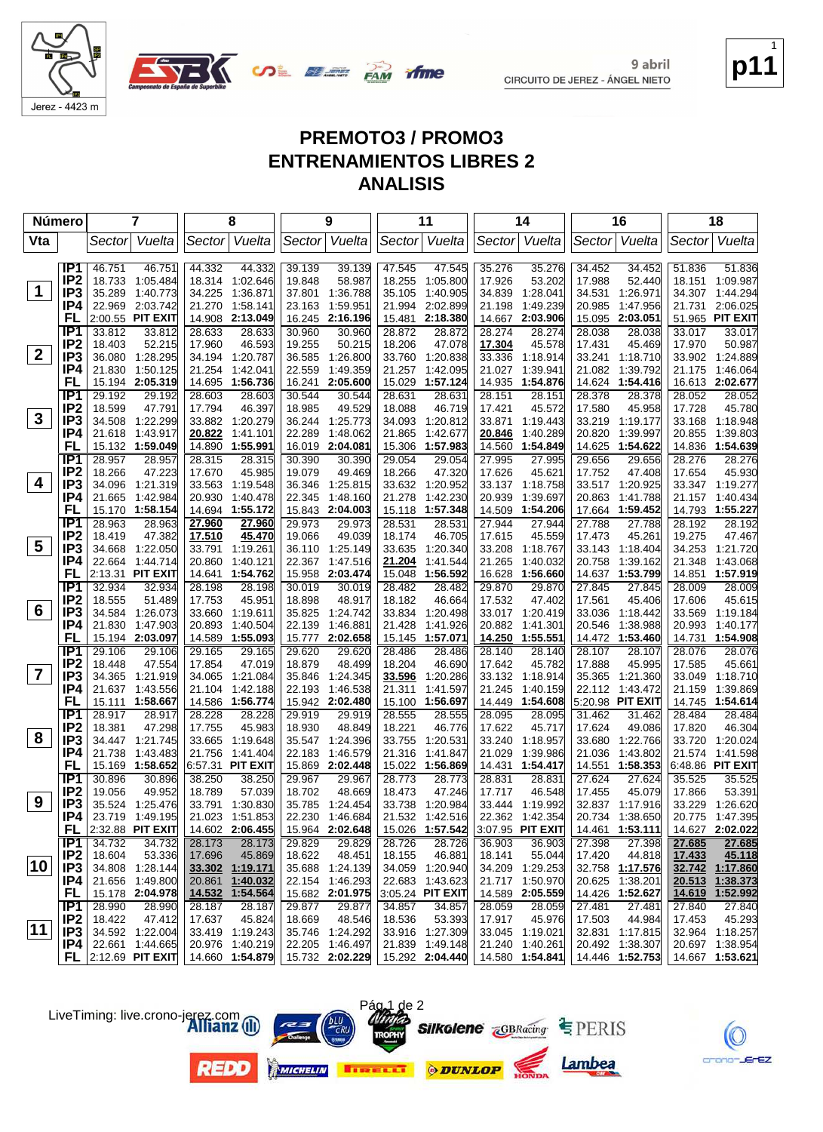

**p11** 1

#### **PREMOTO3 / PROMO3 ENTRENAMIENTOS LIBRES 2 ANALISIS**

**SALE AND TIME** 

| Número                  |                                    | 7                                      | 8                                   | 9                                      | 11                                     | 14                                     | 16                                   | 18                                    |  |
|-------------------------|------------------------------------|----------------------------------------|-------------------------------------|----------------------------------------|----------------------------------------|----------------------------------------|--------------------------------------|---------------------------------------|--|
| Vta                     |                                    | Vuelta<br>Sector                       | Sector Vuelta                       | Sector Vuelta                          | Vuelta<br>Sector                       | Sector Vuelta                          | Sector Vuelta                        | Sector Vuelta                         |  |
|                         | IP <sub>1</sub>                    | 46.751<br>46.751                       | 44.332<br>44.332                    | 39.139<br>39.139                       | 47.545<br>47.545                       | 35.276<br>35.276                       | 34.452<br>34.452                     | 51.836<br>51.836                      |  |
|                         | IP <sub>2</sub>                    | 18.733<br>1:05.484                     | 18.314<br>1:02.646                  | 58.987<br>19.848                       | 18.255<br>1:05.800                     | 17.926<br>53.202                       | 17.988<br>52.440                     | 18.151<br>1:09.987                    |  |
| $\mathbf 1$             | IP3                                | 35.289<br>1:40.773                     | 34.225<br>1:36.871                  | 37.801<br>1:36.788                     | 35.105<br>1:40.905                     | 34.839<br>1:28.041                     | 34.531<br>1:26.971                   | 34.307 1:44.294                       |  |
|                         | IP4                                | 22.969 2:03.742                        | 21.270<br>1:58.141                  | 1:59.951<br>23.163                     | 21.994<br>2:02.899                     | 1:49.239<br>21.198                     | 1:47.956<br>20.985                   | 21.731 2:06.025                       |  |
|                         | FL                                 | 2:00.55 PIT EXIT                       | 2:13.049<br>14.908                  | 2:16.196<br>16.245                     | 2:18.380<br>15.481                     | 2:03.906<br>14.667                     | 15.095 2:03.051                      | 51.965 PIT EXIT                       |  |
|                         | IP <sub>1</sub>                    | 33.812<br>33.812                       | 28.633<br>28.633                    | 30.960<br>30.960                       | 28.872<br>28.872                       | 28.274<br>28.274                       | 28.038<br>28.038                     | 33.017<br>33.017                      |  |
|                         | IP <sub>2</sub>                    | 18.403<br>52.215                       | 17.960<br>46.593                    | 19.255<br>50.215                       | 18.206<br>47.078                       | 17.304<br>45.578                       | 17.431<br>45.469                     | 17.970<br>50.987                      |  |
| $\mathbf{2}$            | IP3                                | 1:28.295<br>36.080                     | 34.194 1:20.787                     | 36.585<br>1:26.800                     | 33.760<br>1:20.838                     | 33.336<br>1:18.914                     | 33.241<br>1:18.710                   | 33.902 1:24.889                       |  |
|                         | IP4                                | 21.830<br>1:50.125                     | 21.254<br>1:42.041                  | 22.559<br>1:49.359                     | 21.257<br>1:42.095                     | 21.027<br>1:39.941                     | 21.082 1:39.792                      | 21.175<br>1:46.064                    |  |
|                         | FL                                 | 15.194 2:05.319                        | 14.695<br>1:56.736                  | 16.241<br>2:05.600                     | 15.029<br>1:57.124                     | 14.935<br>1:54.876                     | 14.624 1:54.416                      | 16.613 2:02.677                       |  |
|                         | IP1                                | 29.192<br>29.192                       | 28.603<br>28.603                    | 30.544<br>30.544                       | 28.631<br>28.631                       | 28.151<br>28.151                       | 28.378<br>28.378                     | 28.052<br>28.052                      |  |
| $\mathbf{3}$            | IP <sub>2</sub>                    | 18.599<br>47.791                       | 17.794<br>46.397                    | 18.985<br>49.529                       | 18.088<br>46.719                       | 17.421<br>45.572                       | 17.580<br>45.958                     | 17.728<br>45.780                      |  |
|                         | IP3                                | 34.508<br>1:22.299                     | 33.882 1:20.279                     | 1:25.773<br>36.244                     | 34.093<br>1:20.812                     | 33.871<br>1:19.443                     | 33.219<br>1:19.177                   | 33.168<br>1:18.948                    |  |
|                         | IP4                                | 21.618<br>1:43.917                     | 20.822<br>1:41.101                  | 22.289<br>1:48.062                     | 1:42.677<br>21.865                     | 20.846<br>1:40.289                     | 20.820<br>1:39.997                   | 20.855<br>1:39.803                    |  |
|                         | FL                                 | 15.132 1:59.049                        | 14.890<br>1:55.991                  | 2:04.081<br>16.019                     | 15.306<br>1:57.983                     | 14.560<br>1:54.849                     | 14.625<br>1:54.622                   | 14.836 1:54.639                       |  |
|                         | IP <sub>1</sub><br>IP <sub>2</sub> | 28.957<br>28.957                       | 28.315<br>28.315                    | 30.390<br>30.390                       | 29.054<br>29.054                       | 27.995<br>27.995                       | 29.656<br>29.656                     | 28.276<br>28.276                      |  |
| 4                       | IP3                                | 18.266<br>47.223<br>34.096<br>1:21.319 | 17.670<br>45.985<br>33.563 1:19.548 | 19.079<br>49.469<br>36.346<br>1:25.815 | 18.266<br>47.320<br>33.632<br>1:20.952 | 17.626<br>45.621<br>33.137<br>1:18.758 | 17.752<br>47.408<br>33.517 1:20.925  | 17.654<br>45.930<br>33.347 1:19.277   |  |
|                         | IP4                                | 21.665<br>1:42.984                     | 20.930<br>1:40.478                  | 22.345<br>1:48.160                     | 21.278<br>1:42.230                     | 20.939<br>1:39.697                     | 20.863<br>1:41.788                   | 21.157<br>1:40.434                    |  |
|                         | FL                                 | 15.170 1:58.154                        | 14.694 1:55.172                     | 15.843 2:04.003                        | 15.118 1:57.348                        | 14.509<br>1:54.206                     | 17.664 1:59.452                      | 14.793 1:55.227                       |  |
|                         | IP <sub>1</sub>                    | 28.963<br>28.963                       | 27.960<br>27.960                    | 29.973<br>29.973                       | 28.531<br>28.531                       | 27.944<br>27.944                       | 27.788<br>27.788                     | 28.192<br>28.192                      |  |
|                         | IP <sub>2</sub>                    | 18.419<br>47.382                       | 17.510<br>45.470                    | 49.039<br>19.066                       | 18.174<br>46.705                       | 45.559<br>17.615                       | 17.473<br>45.261                     | 19.275<br>47.467                      |  |
| $\overline{\mathbf{5}}$ | IP <sub>3</sub>                    | 34.668<br>1:22.050                     | 1:19.261<br>33.791                  | 36.110<br>1.25.149                     | 33.635<br>1:20.340                     | 33.208<br>1:18.767                     | 33.143 1:18.404                      | 34.253<br>1:21.720                    |  |
|                         | IP4                                | 22.664<br>1:44.714                     | 20.860<br>1:40.121                  | 22.367<br>1:47.516                     | 21.204<br>1:41.544                     | 21.265<br>1:40.032                     | 20.758<br>1:39.162                   | 21.348<br>1:43.068                    |  |
|                         | FL                                 | 2:13.31 PIT EXIT                       | 1:54.762<br>14.641                  | 15.958<br>2:03.474                     | 1:56.592<br>15.048                     | 16.628<br>1:56.660                     | 14.637 1:53.799                      | 14.851 1:57.919                       |  |
|                         | IP <sub>1</sub>                    | 32.934<br>32.934                       | 28.198<br>28.198                    | 30.019<br>30.019                       | 28.482<br>28.482                       | 29.870<br>29.870                       | 27.845<br>27.845                     | 28.009<br>28.009                      |  |
|                         | IP <sub>2</sub>                    | 18.555<br>51.489                       | 17.753<br>45.951                    | 18.898<br>48.917                       | 18.182<br>46.664                       | 17.532<br>47.402                       | 17.561<br>45.406                     | 17.606<br>45.615                      |  |
| 6                       | IP <sub>3</sub>                    | 34.584<br>1:26.073                     | 1:19.611<br>33.660                  | 1:24.742<br>35.825                     | 33.834<br>1:20.498                     | 33.017 1:20.419                        | 33.036<br>1:18.442                   | 33.569<br>1:19.184                    |  |
|                         | IP4                                | 21.830<br>1:47.903                     | 20.893<br>1:40.504                  | 1:46.881<br>22.139                     | 21.428<br>1:41.926                     | 20.882<br>1:41.301                     | 20.546<br>1:38.988                   | 1:40.177<br>20.993                    |  |
|                         | FL                                 | 15.194 2:03.097                        | 14.589<br>1:55.093                  | 15.777<br>2:02.658                     | 15.145<br>1:57.071                     | 14.250<br>1:55.551                     | 14.472 1:53.460                      | 14.731 1:54.908                       |  |
|                         | IP1                                | 29.106<br>29.106                       | 29.165<br>29.165                    | 29.620<br>29.620                       | 28.486<br>28.486                       | 28.140<br>28.140                       | 28.107<br>28.107                     | 28.076<br>28.076                      |  |
| $\overline{7}$          | IP <sub>2</sub>                    | 18.448<br>47.554                       | 17.854<br>47.019                    | 18.879<br>48.499                       | 18.204<br>46.690                       | 17.642<br>45.782                       | 17.888<br>45.995                     | 17.585<br>45.661                      |  |
|                         | IP3                                | 34.365<br>1:21.919                     | 34.065<br>1:21.084                  | 1:24.345<br>35.846                     | 1:20.286<br>33.596                     | 33.132<br>1:18.914                     | 35.365 1:21.360                      | 33.049<br>1:18.710                    |  |
|                         | IP4<br>FL                          | 21.637 1:43.556                        | 21.104<br>1:42.188                  | 1:46.538<br>22.193                     | 21.311<br>1:41.597                     | 21.245<br>1:40.159                     | 22.112 1:43.472                      | 21.159<br>1:39.869<br>14.745 1:54.614 |  |
|                         | IP <sub>1</sub>                    | 15.111 1:58.667<br>28.917<br>28.917    | 14.586 1:56.774<br>28.228<br>28.228 | 15.942 2:02.480<br>29.919<br>29.919    | 15.100<br>1:56.697<br>28.555<br>28.555 | 14.449<br>1:54.608<br>28.095<br>28.095 | 5:20.98 PIT EXIT<br>31.462<br>31.462 | 28.484<br>28.484                      |  |
|                         | IP <sub>2</sub>                    | 18.381<br>47.298                       | 17.755<br>45.983                    | 18.930<br>48.849                       | 18.221<br>46.776                       | 17.622<br>45.717                       | 17.624<br>49.086                     | 17.820<br>46.304                      |  |
| 8                       | IP <sub>3</sub>                    | 34.447 1:21.745                        | 33.665<br>1:19.648                  | 35.547<br>1:24.396                     | 33.755<br>1:20.531                     | 33.240<br>1:18.957                     | 33.680<br>1:22.766                   | 33.720<br>1:20.024                    |  |
|                         | IP4                                | 21.738<br>1:43.483                     | 21.756<br>1:41.404                  | 22.183<br>1:46.579                     | 21.316<br>1:41.847                     | 21.029<br>1:39.986                     | 21.036<br>1:43.802                   | 21.574 1:41.598                       |  |
|                         | FL                                 | 15.169<br>1:58.652                     | 6:57.31 PIT EXIT                    | 15.869 2:02.448                        | 15.022<br>1:56.869                     | 14.431<br>1:54.417                     | 14.551<br>1:58.353                   | 6:48.86 PIT EXIT                      |  |
|                         | IP1                                | 30.896<br>30.896                       | 38.250<br>38.250                    | 29.967<br>29.967                       | 28.773<br>28.773                       | 28.831<br>28.831                       | 27.624<br>27.624                     | 35.525<br>35.525                      |  |
|                         | IP <sub>2</sub>                    | 19.056<br>49.952                       | 18.789<br>57.039                    | 18.702<br>48.669                       | 18.473<br>47.246                       | 17.717<br>46.548                       | 17.455<br>45.079                     | 17.866<br>53.391                      |  |
| 9                       | IP <sub>3</sub>                    | 35.524 1:25.476                        | 33.791 1:30.830                     | 35.785 1:24.454                        | 33.738 1:20.984                        | 33.444 1:19.992                        | 32.837 1:17.916                      | 33.229 1:26.620                       |  |
|                         | IP4                                | 23.719 1:49.195                        | 21.023 1:51.853                     | 22.230 1:46.684                        | 21.532 1:42.516                        | 22.362 1:42.354                        | 20.734 1:38.650                      | 20.775 1:47.395                       |  |
|                         |                                    | <b>FL</b> $ 2:32.88$ PIT EXIT          | 14.602 2:06.455                     | 15.964 2:02.648                        | 15.026 1:57.542                        | 3:07.95 PIT EXIT                       | 14.461 1:53.111                      | 14.627 2:02.022                       |  |
|                         | IP1                                | 34.732<br>34.732                       | 28.173<br>28.173                    | 29.829<br>29.829                       | 28.726<br>28.726                       | 36.903<br>36.903                       | 27.398<br>27.398                     | 27.685<br>27.685                      |  |
|                         | IP <sub>2</sub>                    | 18.604<br>53.336                       | 17.696<br>45.869                    | 18.622<br>48.451                       | 18.155<br>46.881                       | 18.141<br>55.044                       | 17.420<br>44.818                     | 45.118<br>17.433                      |  |
| 10                      | IP3                                | 34.808 1:28.144                        | 33.302 1:19.171                     | 35.688 1:24.139                        | 34.059 1:20.940                        | 34.209 1:29.253                        | 32.758 1:17.576                      | 32.742 1:17.860                       |  |
|                         | IP4                                | 21.656 1:49.800                        | 1:40.032<br>20.861                  | 22.154 1:46.293                        | 22.683 1:43.623                        | 21.717 1:50.970                        | 20.625 1:38.201                      | 20.513<br>1:38.373                    |  |
|                         | FL.                                | 15.178 2:04.978                        | 14.532 1:54.564                     | 15.682 2:01.975                        | 3:05.24 PIT EXIT                       | 14.589 2:05.559                        | 14.426 1:52.627                      | 14.619 1:52.992                       |  |
|                         | IP1<br>IP <sub>2</sub>             | 28.990<br>28.990                       | 28.187<br>28.187                    | 29.877<br>29.877                       | 34.857<br>34.857                       | 28.059<br>28.059                       | 27.481<br>27.481                     | 27.840<br>27.840                      |  |
| $ 11\rangle$            | IP3                                | 18.422<br>47.412<br>34.592 1:22.004    | 45.824<br>17.637<br>33.419 1:19.243 | 48.546<br>18.669<br>35.746 1:24.292    | 18.536<br>53.393<br>33.916 1:27.309    | 45.976<br>17.917<br>33.045 1:19.021    | 44.984<br>17.503<br>32.831 1:17.815  | 17.453<br>45.293<br>32.964 1:18.257   |  |
|                         | IP4.                               | 22.661 1:44.665                        | 20.976 1:40.219                     | 22.205 1:46.497                        | 21.839 1:49.148                        | 21.240 1:40.261                        | 20.492 1:38.307                      | 20.697 1:38.954                       |  |
|                         |                                    | <b>FL</b> $ 2:12.69$ PIT EXIT          | 14.660 1:54.879                     | 15.732 2:02.229                        | $15.292$ 2:04.440                      | 14.580  1:54.841                       | 14.446 1:52.753                      | 14.667 1:53.621                       |  |
|                         |                                    |                                        |                                     |                                        |                                        |                                        |                                      |                                       |  |

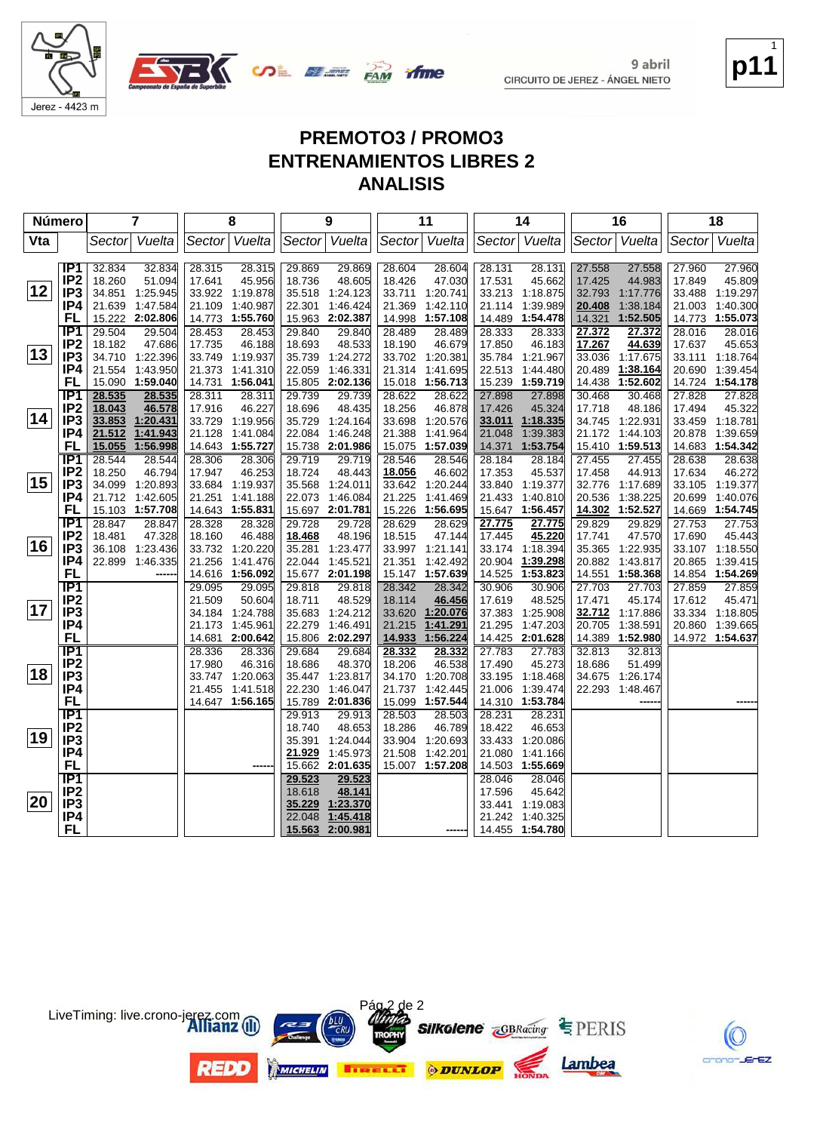

**UDE BEER PAN** 

**p11** 1

crono-JErEZ

#### **PREMOTO3 / PROMO3 ENTRENAMIENTOS LIBRES 2 ANALISIS**

**fime** 

| Número       |                                    | 7                |                      | 8                |                      | 9                |                      | 11               |                      | 14     |                             | 16               |                                    | 18     |                                    |
|--------------|------------------------------------|------------------|----------------------|------------------|----------------------|------------------|----------------------|------------------|----------------------|--------|-----------------------------|------------------|------------------------------------|--------|------------------------------------|
| <b>Vta</b>   |                                    | Sector           | Vuelta               | Sector           | Vuelta               | Sector           | Vuelta               | Sector           | Vuelta               |        | Sector Vuelta               | Sector           | Vuelta                             | Sector | Vuelta                             |
|              |                                    |                  |                      |                  |                      |                  |                      |                  |                      |        |                             |                  |                                    |        |                                    |
|              | IP1                                | 32.834           | 32.834               | 28.315           | 28.315               | 29.869           | 29.869               | 28.604           | 28.604               | 28.131 | 28.131                      | 27.558           | 27.558                             | 27.960 | 27.960                             |
|              | IP <sub>2</sub>                    | 18.260           | 51.094               | 17.641           | 45.956               | 18.736           | 48.605               | 18.426           | 47.030               | 17.531 | 45.662                      | 17.425           | 44.983                             | 17.849 | 45.809                             |
| 12           | IP <sub>3</sub>                    |                  | 34.851 1:25.945      |                  | 33.922 1:19.878      |                  | 35.518 1:24.123      | 33.711           | 1:20.741             |        | 33.213 1:18.875             | 32.793           | 1:17.776                           | 33.488 | 1:19.297                           |
|              | IP4                                | 21.639           | 1:47.584             | 21.109           | 1:40.987             | 22.301           | 1:46.424             | 21.369           | 1:42.110             | 21.114 | 1:39.989                    | 20.408           | 1:38.184                           | 21.003 | 1:40.300                           |
|              | FL                                 |                  | 15.222 2:02.806      |                  | 14.773 1:55.760      |                  | 15.963 2:02.387      | 14.998           | 1:57.108             |        | 14.489 1:54.478             | 14.321           | 1:52.505                           |        | 14.773 1:55.073                    |
|              | IP1                                | 29.504           | 29.504               | 28.453           | 28.453               | 29.840           | 29.840               | 28.489           | 28.489               | 28.333 | 28.333                      | 27.372           | 27.372                             | 28.016 | 28.016                             |
|              | IP <sub>2</sub>                    | 18.182           | 47.686               | 17.735           | 46.188               | 18.693           | 48.533               | 18.190           | 46.679               | 17.850 | 46.183                      | 17.267           | 44.639                             | 17.637 | 45.653                             |
| $ 13\rangle$ | IP <sub>3</sub>                    |                  | 34.710 1:22.396      |                  | 33.749 1:19.937      | 35.739           | 1:24.272             |                  | 33.702 1:20.381      | 35.784 | 1:21.967                    | 33.036           | 1:17.675                           | 33.111 | 1:18.764                           |
|              | IP4                                |                  | 21.554 1:43.950      | 21.373           | 1:41.310             | 22.059           | 1:46.331             | 21.314           | 1:41.695             | 22.513 | 1:44.480                    | 20.489           | 1:38.164                           | 20.690 | 1:39.454                           |
|              | FL                                 |                  | 15.090 1:59.040      | 14.731           | 1:56.041             | 15.805           | 2:02.136             |                  | 15.018 1:56.713      | 15.239 | 1:59.719                    | 14.438           | 1:52.602                           |        | 14.724 1:54.178                    |
|              | IP1                                | 28.535           | 28.535               | 28.311           | 28.311               | 29.739           | 29.739               | 28.622           | 28.622               | 27.898 | 27.898                      | 30.468           | 30.468                             | 27.828 | 27.828                             |
| 14           | IP <sub>2</sub><br>IP <sub>3</sub> | 18.043           | 46.578               | 17.916           | 46.227               | 18.696           | 48.435               | 18.256           | 46.878               | 17.426 | 45.324                      | 17.718           | 48.186                             | 17.494 | 45.322                             |
|              | IP4                                | 33.853<br>21.512 | 1:20.431             | 33.729<br>21.128 | 1:19.956<br>1:41.084 | 35.729<br>22.084 | 1:24.164<br>1:46.248 | 33.698<br>21.388 | 1:20.576<br>1:41.964 | 21.048 | 33.011 1:18.335<br>1:39.383 |                  | 34.745 1:22.931<br>21.172 1:44.103 |        | 33.459 1:18.781<br>20.878 1:39.659 |
|              | FL                                 | 15.055           | 1:41.943<br>1:56.998 |                  | 14.643 1:55.727      | 15.738           | 2:01.986             | 15.075           | 1:57.039             | 14.371 | 1:53.754                    |                  | 15.410 1:59.513                    |        | 14.683 1:54.342                    |
|              | IP <sub>1</sub>                    | 28.544           | 28.544               | 28.306           | 28.306               | 29.719           | 29.719               | 28.546           | 28.546               | 28.184 | 28.184                      | 27.455           | 27.455                             | 28.638 | 28.638                             |
|              | IP <sub>2</sub>                    | 18.250           | 46.794               | 17.947           | 46.253               | 18.724           | 48.443               | 18.056           | 46.602               | 17.353 | 45.537                      | 17.458           | 44.913                             | 17.634 | 46.272                             |
| 15           | IP <sub>3</sub>                    | 34.099           | 1:20.893             |                  | 33.684 1:19.937      | 35.568           | 1:24.011             | 33.642           | 1:20.244             |        | 33.840 1:19.377             |                  | 32.776 1:17.689                    | 33.105 | 1:19.377                           |
|              | IP4                                |                  | 21.712 1:42.605      | 21.251           | 1:41.188             | 22.073           | 1:46.084             | 21.225           | 1:41.469             |        | 21.433 1:40.810             | 20.536           | 1:38.225                           | 20.699 | 1:40.076                           |
|              | FL                                 |                  | 15.103 1:57.708      |                  | 14.643 1:55.831      |                  | 15.697 2:01.781      | 15.226           | 1:56.695             |        | 15.647 1:56.457             |                  | 14.302 1:52.527                    |        | 14.669 1:54.745                    |
|              | IP <sub>1</sub>                    | 28.847           | 28.847               | 28.328           | 28.328               | 29.728           | 29.728               | 28.629           | 28.629               | 27.775 | 27.775                      | 29.829           | 29.829                             | 27.753 | 27.753                             |
|              | IP <sub>2</sub>                    | 18.481           | 47.328               | 18.160           | 46.488               | 18.468           | 48.196               | 18.515           | 47.144               | 17.445 | 45.220                      | 17.741           | 47.570                             | 17.690 | 45.443                             |
| 16           | IP <sub>3</sub>                    | 36.108           | 1:23.436             | 33.732           | 1:20.220             | 35.281           | 1:23.477             | 33.997           | 1:21.141             | 33.174 | 1:18.394                    | 35.365           | 1:22.935                           | 33.107 | 1:18.550                           |
|              | IP4                                | 22.899           | 1:46.335             | 21.256           | 1:41.476             | 22.044           | 1:45.521             | 21.351           | 1:42.492             | 20.904 | 1:39.298                    |                  | 20.882 1:43.817                    | 20.865 | 1:39.415                           |
|              | FL                                 |                  |                      |                  | 14.616 1:56.092      | 15.677           | 2:01.198             | 15.147           | 1:57.639             | 14.525 | 1:53.823                    | 14.551           | 1:58.368                           |        | 14.854 1:54.269                    |
|              | $\overline{IP1}$                   |                  |                      | 29.095           | 29.095               | 29.818           | 29.818               | 28.342           | 28.342               | 30.906 | 30.906                      | 27.703           | 27.703                             | 27.859 | 27.859                             |
| 17           | IP <sub>2</sub>                    |                  |                      | 21.509           | 50.604               | 18.711           | 48.529               | 18.114           | 46.456               | 17.619 | 48.525                      | 17.471           | 45.174                             | 17.612 | 45.471                             |
|              | IP <sub>3</sub>                    |                  |                      |                  | 34.184 1:24.788      | 35.683           | 1:24.212             | 33.620           | 1:20.076             |        | 37.383 1:25.908             | 32.712           | 1:17.886                           |        | 33.334 1:18.805                    |
|              | IP4<br><b>FL</b>                   |                  |                      | 21.173           | 1:45.961<br>2:00.642 | 22.279<br>15.806 | 1.46.491<br>2:02.297 | 21.215<br>14.933 | 1:41.291<br>1:56.224 | 21.295 | 1:47.203<br>14.425 2:01.628 | 20.705           | 1:38.591<br>1:52.980               | 20.860 | 1:39.665                           |
|              | $\overline{IP1}$                   |                  |                      | 14.681<br>28.336 | 28.336               | 29.684           | 29.684               | 28.332           | 28.332               | 27.783 | 27.783                      | 14.389<br>32.813 | 32.813                             |        | 14.972 1:54.637                    |
|              | IP <sub>2</sub>                    |                  |                      | 17.980           | 46.316               | 18.686           | 48.370               | 18.206           | 46.538               | 17.490 | 45.273                      | 18.686           | 51.499                             |        |                                    |
| 18           | IP <sub>3</sub>                    |                  |                      |                  | 33.747 1:20.063      |                  | 35.447 1:23.817      | 34.170           | 1:20.708             | 33.195 | 1:18.468                    |                  | 34.675 1:26.174                    |        |                                    |
|              | IP4                                |                  |                      | 21.455           | 1:41.518             | 22.230           | 1:46.047             | 21.737           | 1:42.445             | 21.006 | 1:39.474                    |                  | 22.293 1:48.467                    |        |                                    |
|              | <b>FL</b>                          |                  |                      |                  | 14.647 1:56.165      |                  | 15.789 2:01.836      | 15.099           | 1:57.544             |        | 14.310 1:53.784             |                  |                                    |        |                                    |
|              | $\overline{IP1}$                   |                  |                      |                  |                      | 29.913           | 29.913               | 28.503           | 28.503               | 28.231 | 28.231                      |                  |                                    |        |                                    |
|              | IP <sub>2</sub>                    |                  |                      |                  |                      | 18.740           | 48.653               | 18.286           | 46.789               | 18.422 | 46.653                      |                  |                                    |        |                                    |
| ∣19          | IP <sub>3</sub>                    |                  |                      |                  |                      | 35.391           | 1.24.044             | 33.904           | 1:20.693             | 33.433 | 1:20.086                    |                  |                                    |        |                                    |
|              | IP4                                |                  |                      |                  |                      | 21.929           | 1:45.973             | 21.508           | 1:42.201             | 21.080 | 1:41.166                    |                  |                                    |        |                                    |
|              | <b>FL</b>                          |                  |                      |                  |                      | 15.662           | 2:01.635             | 15.007           | 1:57.208             |        | 14.503 1:55.669             |                  |                                    |        |                                    |
|              | $\overline{IP1}$                   |                  |                      |                  |                      | 29.523           | 29.523               |                  |                      | 28.046 | 28.046                      |                  |                                    |        |                                    |
|              | IP <sub>2</sub>                    |                  |                      |                  |                      | 18.618           | 48.141               |                  |                      | 17.596 | 45.642                      |                  |                                    |        |                                    |
| 20           | IP <sub>3</sub>                    |                  |                      |                  |                      | 35.229           | 1:23.370             |                  |                      | 33.441 | 1:19.083                    |                  |                                    |        |                                    |
|              | IP4                                |                  |                      |                  |                      | 22.048           | 1:45.418             |                  |                      |        | 21.242 1:40.325             |                  |                                    |        |                                    |
|              | FL                                 |                  |                      |                  |                      |                  | 15.563 2:00.981      |                  |                      |        | 14.455 1:54.780             |                  |                                    |        |                                    |

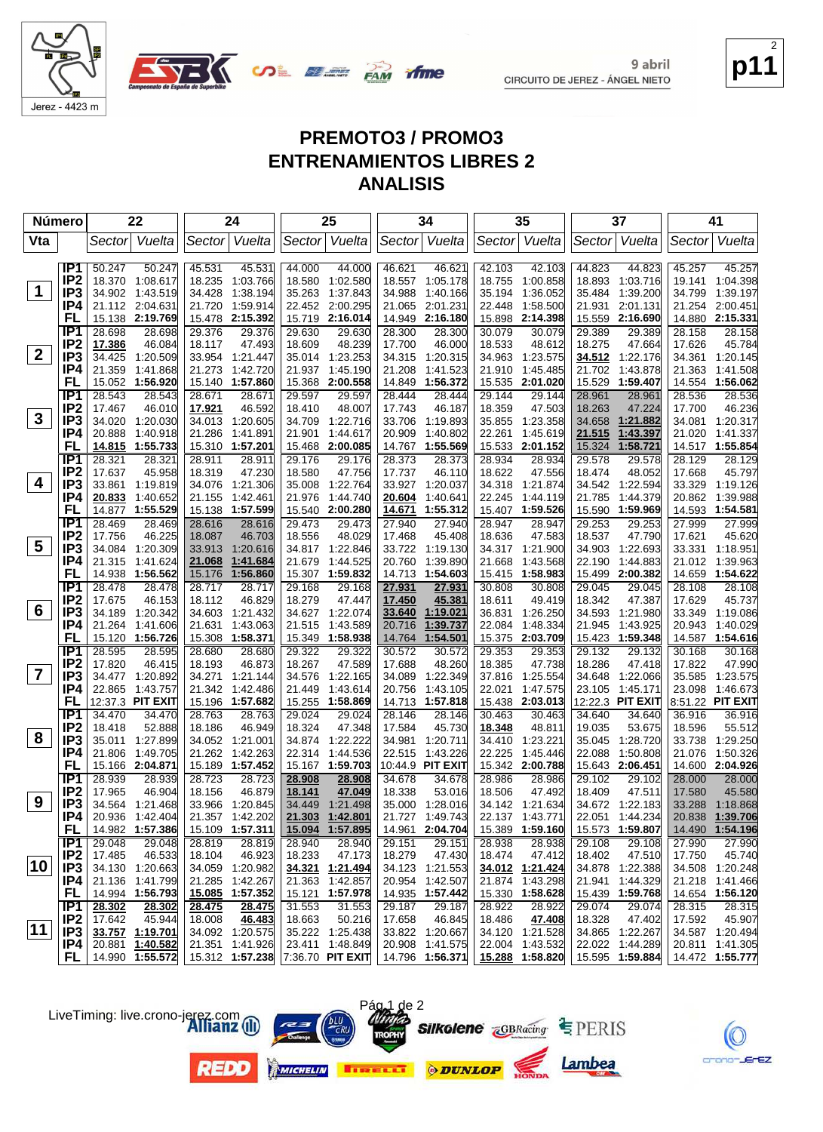



**p11** 2

### **PREMOTO3 / PROMO3 ENTRENAMIENTOS LIBRES 2 ANALISIS**

**fime** 

| Número          |                                    | 22                                       | 24                             | 25                               | 34                                       | 35                                  | 37                                  | 41                                  |  |
|-----------------|------------------------------------|------------------------------------------|--------------------------------|----------------------------------|------------------------------------------|-------------------------------------|-------------------------------------|-------------------------------------|--|
| Vta             |                                    | Sector Vuelta                            | Sector Vuelta                  | Sector Vuelta                    | Sector Vuelta                            | Sector Vuelta                       | Sector Vuelta                       | Sector Vuelta                       |  |
|                 | IP1                                | 50.247<br>50.247                         | 45.531<br>45.531               | 44.000<br>44.000                 | 46.621<br>46.621                         | 42.103<br>42.103                    | 44.823<br>44.823                    | 45.257<br>45.257                    |  |
|                 | IP <sub>2</sub>                    | 18.370<br>1:08.617                       | 18.235<br>1:03.766             | 18.580<br>1:02.580               | 18.557<br>1:05.178                       | 18.755<br>1:00.858                  | 18.893<br>1:03.716                  | 19.141<br>1:04.398                  |  |
| $\mathbf 1$     | IP <sub>3</sub>                    | 34.902 1:43.519                          | 1:38.194<br>34.428             | 1:37.843<br>35.263               | 34.988<br>1:40.166                       | 35.194<br>1:36.052                  | 35.484<br>1:39.200                  | 34.799<br>1:39.197                  |  |
|                 | IP4                                | 21.112 2:04.631                          | 1:59.914<br>21.720             | 22.452<br>2:00.295               | 21.065<br>2:01.231                       | 22.448<br>1:58.500                  | 21.931 2:01.131                     | 21.254<br>2:00.451                  |  |
|                 | FL                                 | 15.138 2:19.769                          | 15.478<br>2:15.392             | 15.719<br>2:16.014               | 14.949<br>2:16.180                       | 15.898<br>2:14.398                  | 15.559<br>2:16.690                  | 14.880 2:15.331                     |  |
|                 | IP <sub>1</sub>                    | 28.698<br>28.698                         | 29.376<br>29.376               | 29.630<br>29.630                 | 28.300<br>28.300                         | 30.079<br>30.079                    | 29.389<br>29.389                    | 28.158<br>28.158                    |  |
|                 | IP <sub>2</sub>                    | 17.386<br>46.084                         | 18.117<br>47.493               | 18.609<br>48.239                 | 17.700<br>46.000                         | 18.533<br>48.612                    | 18.275<br>47.664                    | 17.626<br>45.784                    |  |
| $\mathbf{2}$    | IP <sub>3</sub>                    | 34.425<br>1:20.509                       | 33.954<br>1.21.447             | 35.014 1:23.253                  | 34.315<br>1:20.315                       | 34.963<br>1:23.575                  | 34.512<br>1:22.176                  | 34.361<br>1:20.145                  |  |
|                 | IP4                                | 21.359<br>1:41.868                       | 1:42.720<br>21.273             | 1:45.190<br>21.937               | 21.208<br>1:41.523                       | 1:45.485<br>21.910                  | 1:43.878<br>21.702                  | 1:41.508<br>21.363                  |  |
|                 | FL                                 | 15.052<br>1:56.920                       | 15.140<br>1:57.860             | 15.368<br>2:00.558               | 14.849<br>1:56.372                       | 2:01.020<br>15.535                  | 15.529<br>1:59.407                  | 14.554 1:56.062                     |  |
|                 | IP1                                | 28.543<br>28.543                         | 28.671<br>28.671               | 29.597<br>29.597                 | 28.444<br>28.444                         | 29.144<br>29.144                    | 28.961<br>28.961                    | 28.536<br>28.536                    |  |
|                 | IP <sub>2</sub>                    | 17.467<br>46.010                         | 17.921<br>46.592               | 48.007<br>18.410                 | 17.743<br>46.187                         | 18.359<br>47.503                    | 18.263<br>47.224                    | 17.700<br>46.236                    |  |
| $3\phantom{a}$  | IP3                                | 34.020<br>1:20.030                       | 1:20.605<br>34.013             | 1:22.716<br>34.709               | 33.706<br>1:19.893                       | 35.855<br>1:23.358                  | 34.658<br>1:21.882                  | 34.081<br>1:20.317                  |  |
|                 | IP4                                | 20.888<br>1:40.918                       | 21.286<br>1:41.891             | 21.901<br>1:44.617               | 1:40.802<br>20.909                       | 22.261<br>1:45.619                  | 1:43.397<br>21.515                  | 21.020<br>1:41.337                  |  |
|                 | FL                                 | 14.815 1:55.733                          | 1:57.201<br>15.310             | 2:00.085<br>15.468               | 1:55.569<br>14.767                       | 15.533<br>2:01.152                  | 15.324<br>1:58.721                  | 14.517 1:55.854                     |  |
|                 | IP <sub>1</sub>                    | 28.321<br>28.321                         | 28.911<br>28.911               | 29.176<br>29.176                 | 28.373<br>28.373                         | 28.934<br>28.934                    | 29.578<br>29.578                    | 28.129<br>28.129                    |  |
|                 | IP <sub>2</sub>                    | 17.637<br>45.958                         | 47.230<br>18.319               | 18.580<br>47.756                 | 17.737<br>46.110                         | 18.622<br>47.556                    | 18.474<br>48.052                    | 17.668<br>45.797                    |  |
| 4               | IP <sub>3</sub>                    | 33.861<br>1:19.819                       | 34.076 1:21.306                | 35.008<br>1:22.764               | 33.927<br>1:20.037                       | 34.318<br>1:21.874                  | 34.542 1:22.594                     | 33.329<br>1:19.126                  |  |
|                 | IP4                                | 20.833<br>1:40.652                       | 1:42.461<br>21.155             | 21.976<br>1.44.740               | 20.604<br>1:40.641                       | 22.245<br>1:44.119                  | 21.785<br>1:44.379                  | 1:39.988<br>20.862                  |  |
|                 | FL                                 | 1:55.529<br>14.877                       | 1:57.599<br>15.138             | 15.540<br>2:00.280               | 1:55.312<br>14.671                       | 15.407<br>1:59.526                  | 15.590<br>1:59.969                  | 14.593 1:54.581                     |  |
|                 | IP <sub>1</sub>                    | 28.469<br>28.469                         | 28.616<br>28.616               | 29.473<br>29.473                 | 27.940<br>27.940                         | 28.947<br>28.947                    | 29.253<br>29.253                    | 27.999<br>27.999                    |  |
| $5\overline{)}$ | IP <sub>2</sub><br>IP <sub>3</sub> | 46.225<br>17.756                         | 18.087<br>46.703               | 18.556<br>48.029                 | 17.468<br>45.408<br>33.722 1:19.130      | 18.636<br>47.583<br>34.317 1:21.900 | 18.537<br>47.790<br>34.903 1:22.693 | 17.621<br>45.620<br>33.331 1:18.951 |  |
|                 | IP4                                | 34.084<br>1:20.309                       | 33.913<br>1:20.616<br>1:41.684 | 34.817 1:22.846<br>1:44.525      |                                          | 1:43.568                            | 1:44.883                            | 21.012 1:39.963                     |  |
|                 | FL                                 | 21.315<br>1:41.624<br>14.938<br>1:56.562 | 21.068<br>1:56.860<br>15.176   | 21.679<br>1:59.832<br>15.307     | 20.760<br>1:39.890<br>14.713<br>1:54.603 | 21.668<br>15.415<br>1:58.983        | 22.190<br>15.499 2:00.382           | 14.659 1:54.622                     |  |
|                 | IP <sub>1</sub>                    | 28.478<br>28.478                         | 28.717<br>28.717               | 29.168<br>29.168                 | 27.931<br>27.931                         | 30.808<br>30.808                    | 29.045<br>29.045                    | 28.108<br>28.108                    |  |
|                 | IP <sub>2</sub>                    | 17.675<br>46.153                         | 46.829<br>18.112               | 18.279<br>47.447                 | 17.450<br>45.381                         | 18.611<br>49.419                    | 18.342<br>47.387                    | 17.629<br>45.737                    |  |
| $6\phantom{1}$  | IP <sub>3</sub>                    | 34.189<br>1:20.342                       | 34.603 1:21.432                | 34.627 1:22.074                  | 33.640<br>1:19.021                       | 36.831<br>1:26.250                  | 34.593<br>1:21.980                  | 33.349<br>1:19.086                  |  |
|                 | IP4                                | 21.264<br>1:41.606                       | 21.631<br>1:43.063             | 21.515<br>1:43.589               | 20.716<br>1:39.737                       | 22.084<br>1:48.334                  | 21.945<br>1:43.925                  | 20.943<br>1:40.029                  |  |
|                 | FL                                 | 15.120 1:56.726                          | 15.308 1:58.371                | 15.349 1:58.938                  | 14.764<br>1:54.501                       | 15.375<br>2:03.709                  | 15.423 1:59.348                     | 14.587 1:54.616                     |  |
|                 | IP1                                | 28.595<br>28.595                         | 28.680<br>28.680               | 29.322<br>29.322                 | 30.572<br>30.572                         | 29.353<br>29.353                    | 29.132<br>29.132                    | 30.168<br>30.168                    |  |
|                 | IP <sub>2</sub>                    | 17.820<br>46.415                         | 18.193<br>46.873               | 47.589<br>18.267                 | 17.688<br>48.260                         | 18.385<br>47.738                    | 18.286<br>47.418                    | 47.990<br>17.822                    |  |
| $\overline{7}$  | IP <sub>3</sub>                    | 34.477 1:20.892                          | 34.271 1:21.144                | 34.576<br>1:22.165               | 34.089<br>1:22.349                       | 37.816<br>1:25.554                  | 34.648<br>1:22.066                  | 35.585 1:23.575                     |  |
|                 | IP4                                | 22.865<br>1:43.757                       | 21.342<br>1:42.486             | 21.449<br>1:43.614               | 20.756<br>1:43.105                       | 22.021<br>1:47.575                  | 23.105<br>1:45.171                  | 23.098<br>1:46.673                  |  |
|                 | FL                                 | 12:37.3 PIT EXIT                         | 15.196 1:57.682                | 15.255<br>1:58.869               | 1:57.818<br>14.713                       | 15.438<br>2:03.013                  | 12:22.3 PIT EXIT                    | 8:51.22 PIT EXIT                    |  |
|                 | IP1                                | 34.470<br>34.470                         | 28.763<br>28.763               | 29.024<br>29.024                 | 28.146<br>28.146                         | 30.463<br>30.463                    | 34.640<br>34.640                    | 36.916<br>36.916                    |  |
|                 | IP <sub>2</sub>                    | 18.418<br>52.888                         | 18.186<br>46.949               | 18.324<br>47.348                 | 17.584<br>45.730                         | 18.348<br>48.811                    | 19.035<br>53.675                    | 18.596<br>55.512                    |  |
| 8               | IP <sub>3</sub>                    | 35.011<br>1:27.899                       | 34.052 1:21.001                | 1:22.222<br>34.874               | 34.981<br>1:20.711                       | 34.410<br>1:23.221                  | 35.045<br>1:28.720                  | 1:29.250<br>33.738                  |  |
|                 | IP4                                | 1:49.705<br>21.806                       | 21.262<br>1:42.263             | 1:44.536<br>22.314               | 1:43.226<br>22.515                       | 1:45.446<br>22.225                  | 22.088<br>1:50.808                  | 1:50.326<br>21.076                  |  |
|                 | FL                                 | 15.166 2:04.871                          | 15.189 1:57.452                | 1:59.703<br>15.167               | 10:44.9 PIT EXIT                         | 15.342<br>2:00.788                  | 15.643 2:06.451                     | 14.600 2:04.926                     |  |
|                 | IP <sub>1</sub>                    | 28.939<br>28.939                         | 28.723<br>28.723               | 28.908<br>28.908                 | 34.678<br>34.678                         | 28.986<br>28.986                    | 29.102<br>29.102                    | 28.000<br>28.000                    |  |
|                 | IP <sub>2</sub>                    | 17.965<br>46.904                         | 18.156<br>46.879               | 18.141<br>47.049                 | 18.338<br>53.016                         | 18.506<br>47.492                    | 18.409<br>47.511                    | 17.580<br>45.580                    |  |
| 9               | IP <sub>3</sub>                    | 34.564 1:21.468                          | 33.966 1:20.845                | 34.449<br>1:21.498               | 35.000 1:28.016                          | 34.142 1:21.634                     | 34.672 1:22.183                     | 33.288 1:18.868                     |  |
|                 | IP4                                | 20.936 1:42.404                          | 21.357 1:42.202                | 21.303 1:42.801                  | 21.727 1:49.743                          | 22.137 1:43.771                     | 22.051 1:44.234                     | 20.838 1:39.706                     |  |
|                 | FL.                                | 14.982 1:57.386                          | 15.109 1:57.311                | 15.094 1:57.895                  | 14.961 2:04.704                          | 15.389 1:59.160                     | 15.573 1:59.807                     | 14.490 1:54.196                     |  |
|                 | IP1                                | 29.048<br>29.048                         | 28.819<br>28.819               | 28.940<br>28.940                 | 29.151<br>29.151                         | 28.938<br>28.938                    | 29.108<br>29.108                    | 27.990<br>27.990                    |  |
|                 | IP <sub>2</sub>                    | 17.485<br>46.533                         | 18.104<br>46.923               | 18.233<br>47.173                 | 18.279<br>47.430                         | 18.474<br>47.412                    | 18.402<br>47.510                    | 17.750<br>45.740                    |  |
| 10              | IP3                                | 34.130 1:20.663                          | 34.059 1:20.982                | 34.321 1:21.494                  | 34.123 1:21.553                          | 34.012 1:21.424                     | 34.878 1:22.388                     | 34.508 1:20.248                     |  |
|                 | P4                                 | 21.136 1:41.799                          | 21.285 1:42.267                | 21.363 1:42.857                  | 20.954 1:42.507                          | 21.874 1:43.298                     | 21.941 1:44.329                     | 21.218 1:41.466                     |  |
|                 | FL.                                | 14.994 1:56.793                          | 15.085 1:57.352                | 15.121 1:57.978                  | 14.935 1:57.442                          | 15.330 1:58.628                     | 15.439 1:59.768                     | 14.654 1:56.120                     |  |
|                 | IP1                                | 28.302<br>28.302                         | 28.475<br>28.475               | 31.553<br>31.553                 | 29.187<br>29.187                         | 28.922<br>28.922                    | 29.074<br>29.074                    | 28.315<br>28.315                    |  |
| 11              | IP <sub>2</sub>                    | 17.642<br>45.944                         | 18.008<br>46.483               | 18.663<br>50.216                 | 17.658<br>46.845                         | 18.486<br>47.408                    | 18.328<br>47.402                    | 17.592<br>45.907                    |  |
|                 | IP <sub>3</sub>                    | 33.757 1:19.701                          | 34.092 1:20.575                | 35.222 1:25.438                  | 33.822 1:20.667                          | 34.120 1:21.528                     | 34.865 1:22.267                     | 34.587 1:20.494                     |  |
|                 | IP4                                | 20.881 1:40.582                          | 21.351 1:41.926                | 23.411 1:48.849                  | 20.908 1:41.575                          | 22.004 1:43.532                     | 22.022 1:44.289                     | 20.811 1:41.305                     |  |
|                 | FL.                                | 14.990 1:55.572                          |                                | 15.312 1:57.238 7:36.70 PIT EXIT | 14.796 1:56.371                          | $15.288$ 1:58.820                   | 15.595 1:59.884                     | 14.472 1:55.777                     |  |



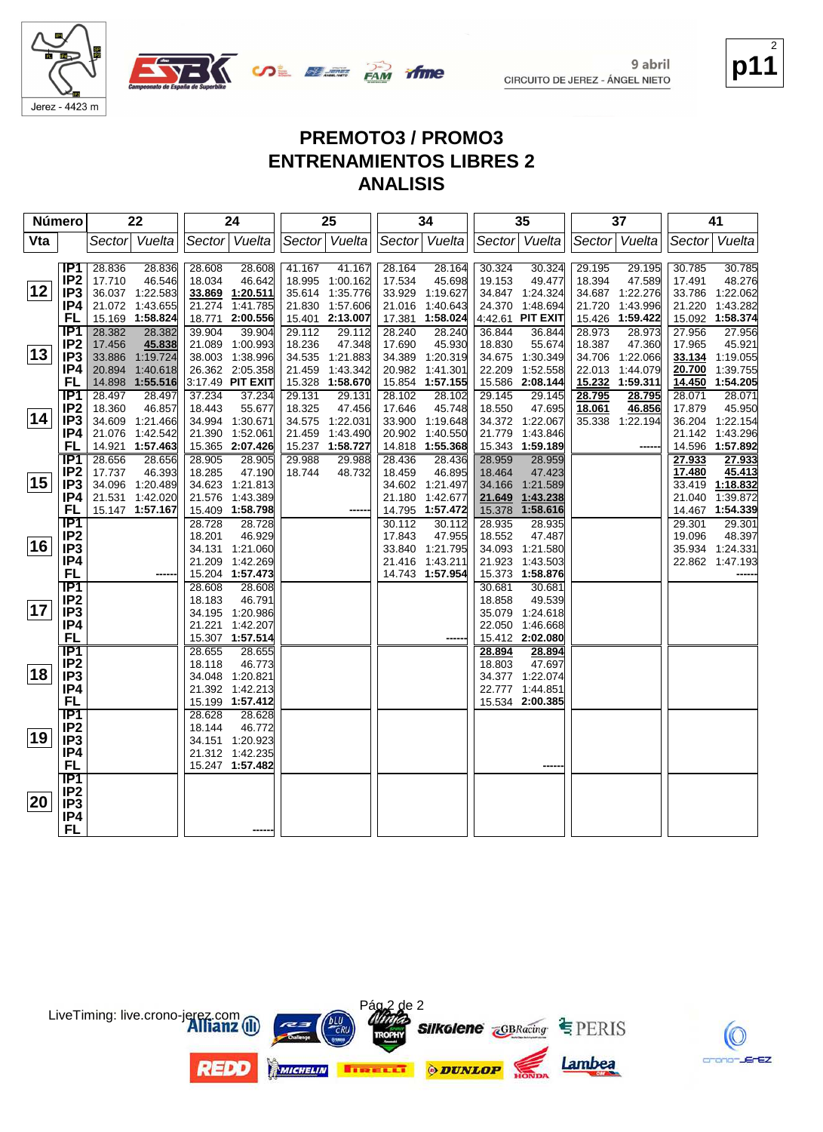



**p11** 2

crono-JErEZ

#### **PREMOTO3 / PROMO3 ENTRENAMIENTOS LIBRES 2 ANALISIS**

**fime** 

| Vta<br>Sector Vuelta<br>Sector Vuelta<br>Sector Vuelta<br>Sector Vuelta<br>Sector Vuelta<br>Sector Vuelta<br>Sector<br>IP1<br>29.195<br>28.836<br>28.836<br>28.608<br>28.608<br>41.167<br>41.167<br>28.164<br>28.164<br>30.324<br>30.324<br>29.195<br>30.785<br>IP <sub>2</sub><br>17.710<br>46.546<br>18.034<br>46.642<br>17.534<br>45.698<br>19.153<br>49.477<br>18.394<br>47.589<br>18.995 1:00.162<br>17.491<br> 12 <br>IP <sub>3</sub><br>36.037 1:22.583<br>33.869 1:20.511<br>35.614 1:35.776<br>33.929 1:19.627<br>34.847 1:24.324<br>34.687 1:22.276<br>33.786 1:22.062<br>21.072 1:43.655<br>1:41.785<br>21.016 1:40.643<br>24.370 1:48.694<br>IP4<br>21.274<br>21.830 1:57.606<br>21.720<br>1:43.996<br>21.220<br>15.169 1:58.824<br>2:00.556<br>4:42.61 PIT EXIT<br>15.092 1:58.374<br>FL<br>18.771<br>15.401 2:13.007<br>17.381 1:58.024<br>15.426<br>1:59.422<br>36.844<br>IP <sub>1</sub><br>28.382<br>28.382<br>39.904<br>39.904<br>29.112<br>28.240<br>28.240<br>28.973<br>28.973<br>27.956<br>29.112<br>36.844<br>45.838<br>21.089 1:00.993<br>17.456<br>18.236<br>47.348<br>17.690<br>45.930<br>18.830<br>55.674<br>18.387<br>17.965<br>IP <sub>2</sub><br>47.360<br>13<br>38.003 1:38.996<br>34.535<br>IP <sub>3</sub><br>33.886 1:19.724<br>1:21.883<br>34.389<br>1:20.319<br>34.675 1:30.349<br>34.706 1:22.066 | Vuelta<br>30.785<br>48.276<br>1:43.282<br>27.956<br>45.921<br>33.134 1:19.055<br>1:39.755<br>14.450 1:54.205<br>28.071<br>45.950 |
|---------------------------------------------------------------------------------------------------------------------------------------------------------------------------------------------------------------------------------------------------------------------------------------------------------------------------------------------------------------------------------------------------------------------------------------------------------------------------------------------------------------------------------------------------------------------------------------------------------------------------------------------------------------------------------------------------------------------------------------------------------------------------------------------------------------------------------------------------------------------------------------------------------------------------------------------------------------------------------------------------------------------------------------------------------------------------------------------------------------------------------------------------------------------------------------------------------------------------------------------------------------------------------------------------------------------------------------|----------------------------------------------------------------------------------------------------------------------------------|
|                                                                                                                                                                                                                                                                                                                                                                                                                                                                                                                                                                                                                                                                                                                                                                                                                                                                                                                                                                                                                                                                                                                                                                                                                                                                                                                                       |                                                                                                                                  |
|                                                                                                                                                                                                                                                                                                                                                                                                                                                                                                                                                                                                                                                                                                                                                                                                                                                                                                                                                                                                                                                                                                                                                                                                                                                                                                                                       |                                                                                                                                  |
|                                                                                                                                                                                                                                                                                                                                                                                                                                                                                                                                                                                                                                                                                                                                                                                                                                                                                                                                                                                                                                                                                                                                                                                                                                                                                                                                       |                                                                                                                                  |
|                                                                                                                                                                                                                                                                                                                                                                                                                                                                                                                                                                                                                                                                                                                                                                                                                                                                                                                                                                                                                                                                                                                                                                                                                                                                                                                                       |                                                                                                                                  |
|                                                                                                                                                                                                                                                                                                                                                                                                                                                                                                                                                                                                                                                                                                                                                                                                                                                                                                                                                                                                                                                                                                                                                                                                                                                                                                                                       |                                                                                                                                  |
|                                                                                                                                                                                                                                                                                                                                                                                                                                                                                                                                                                                                                                                                                                                                                                                                                                                                                                                                                                                                                                                                                                                                                                                                                                                                                                                                       |                                                                                                                                  |
|                                                                                                                                                                                                                                                                                                                                                                                                                                                                                                                                                                                                                                                                                                                                                                                                                                                                                                                                                                                                                                                                                                                                                                                                                                                                                                                                       |                                                                                                                                  |
|                                                                                                                                                                                                                                                                                                                                                                                                                                                                                                                                                                                                                                                                                                                                                                                                                                                                                                                                                                                                                                                                                                                                                                                                                                                                                                                                       |                                                                                                                                  |
|                                                                                                                                                                                                                                                                                                                                                                                                                                                                                                                                                                                                                                                                                                                                                                                                                                                                                                                                                                                                                                                                                                                                                                                                                                                                                                                                       |                                                                                                                                  |
| 20.894 1:40.618<br>26.362 2:05.358<br>21.459<br>1:43.342<br>20.982<br>1:41.301<br>22.209<br>1:52.558<br>22.013 1:44.079<br>20.700<br>IP4                                                                                                                                                                                                                                                                                                                                                                                                                                                                                                                                                                                                                                                                                                                                                                                                                                                                                                                                                                                                                                                                                                                                                                                              |                                                                                                                                  |
| 14.898 1:55.516<br>15.586 2:08.144<br>15.232 1:59.311<br>FL<br>3:17.49 PIT EXIT<br>15.328<br>1:58.670<br>15.854<br>1:57.155                                                                                                                                                                                                                                                                                                                                                                                                                                                                                                                                                                                                                                                                                                                                                                                                                                                                                                                                                                                                                                                                                                                                                                                                           |                                                                                                                                  |
| IP1<br>28.497<br>28.497<br>37.234<br>37.234<br>29.131<br>29.131<br>28.102<br>28.102<br>29.145<br>29.145<br>28.795<br>28.795<br>28.071                                                                                                                                                                                                                                                                                                                                                                                                                                                                                                                                                                                                                                                                                                                                                                                                                                                                                                                                                                                                                                                                                                                                                                                                 |                                                                                                                                  |
| IP <sub>2</sub><br>18.360<br>55.677<br>47.456<br>18.550<br>46.857<br>18.443<br>18.325<br>17.646<br>45.748<br>47.695<br>17.879<br>18.061<br>46.856                                                                                                                                                                                                                                                                                                                                                                                                                                                                                                                                                                                                                                                                                                                                                                                                                                                                                                                                                                                                                                                                                                                                                                                     |                                                                                                                                  |
| 14<br>IP <sub>3</sub><br>34.609 1:21.466<br>34.994 1:30.671<br>34.575<br>1:22.031<br>33.900<br>1:19.648<br>34.372 1:22.067<br>35.338<br>36.204 1:22.154<br>1:22.194                                                                                                                                                                                                                                                                                                                                                                                                                                                                                                                                                                                                                                                                                                                                                                                                                                                                                                                                                                                                                                                                                                                                                                   |                                                                                                                                  |
| IP4<br>21.076 1:42.542<br>1:52.061<br>1:43.490<br>21.142 1:43.296<br>21.390<br>21.459<br>20.902<br>1:40.550<br>21.779<br>1:43.846                                                                                                                                                                                                                                                                                                                                                                                                                                                                                                                                                                                                                                                                                                                                                                                                                                                                                                                                                                                                                                                                                                                                                                                                     |                                                                                                                                  |
| FL<br>14.921 1:57.463<br>15.237<br>1:58.727<br>14.818<br>1:55.368<br>15.343<br>1:59.189<br>14.596 1:57.892<br>15.365 2:07.426                                                                                                                                                                                                                                                                                                                                                                                                                                                                                                                                                                                                                                                                                                                                                                                                                                                                                                                                                                                                                                                                                                                                                                                                         |                                                                                                                                  |
| IP1<br>28.656<br>28.656<br>28.905<br>28.905<br>29.988<br>29.988<br>28.436<br>28.436<br>28.959<br>28.959<br>27.933                                                                                                                                                                                                                                                                                                                                                                                                                                                                                                                                                                                                                                                                                                                                                                                                                                                                                                                                                                                                                                                                                                                                                                                                                     | 27.933                                                                                                                           |
| IP <sub>2</sub><br>46.393<br>47.190<br>46.895<br>18.464<br>17.737<br>18.285<br>18.744<br>48.732<br>18.459<br>47.423<br>17.480                                                                                                                                                                                                                                                                                                                                                                                                                                                                                                                                                                                                                                                                                                                                                                                                                                                                                                                                                                                                                                                                                                                                                                                                         | 45.413                                                                                                                           |
| 15 <br>IP <sub>3</sub><br>34.096 1:20.489<br>34.623 1:21.813<br>34.602 1:21.497<br>34.166<br>1:21.589<br>33.419 1:18.832                                                                                                                                                                                                                                                                                                                                                                                                                                                                                                                                                                                                                                                                                                                                                                                                                                                                                                                                                                                                                                                                                                                                                                                                              |                                                                                                                                  |
| IP4<br>21.531 1:42.020<br>21.576<br>1:43.389<br>21.180<br>1:42.677<br>21.040 1:39.872<br>21.649<br>1:43.238                                                                                                                                                                                                                                                                                                                                                                                                                                                                                                                                                                                                                                                                                                                                                                                                                                                                                                                                                                                                                                                                                                                                                                                                                           |                                                                                                                                  |
| 14.467 1:54.339<br>FL<br>15.147 1:57.167<br>15.409 1:58.798<br>14.795 1:57.472<br>1:58.616<br>15.378                                                                                                                                                                                                                                                                                                                                                                                                                                                                                                                                                                                                                                                                                                                                                                                                                                                                                                                                                                                                                                                                                                                                                                                                                                  |                                                                                                                                  |
| $\overline{IP1}$<br>28.728<br>28.728<br>30.112<br>30.112<br>28.935<br>28.935<br>29.301                                                                                                                                                                                                                                                                                                                                                                                                                                                                                                                                                                                                                                                                                                                                                                                                                                                                                                                                                                                                                                                                                                                                                                                                                                                | 29.301                                                                                                                           |
| IP <sub>2</sub><br>46.929<br>47.955<br>18.552<br>18.201<br>17.843<br>47.487<br>19.096<br>16                                                                                                                                                                                                                                                                                                                                                                                                                                                                                                                                                                                                                                                                                                                                                                                                                                                                                                                                                                                                                                                                                                                                                                                                                                           | 48.397                                                                                                                           |
| IP <sub>3</sub><br>33.840 1:21.795<br>1:21.060<br>34.093<br>35.934 1:24.331<br>34.131<br>1:21.580<br>IP4<br>1:42.269<br>21.923                                                                                                                                                                                                                                                                                                                                                                                                                                                                                                                                                                                                                                                                                                                                                                                                                                                                                                                                                                                                                                                                                                                                                                                                        |                                                                                                                                  |
| 21.416 1:43.211<br>21.209<br>1:43.503<br><b>FL</b><br>15.204 1:57.473<br>14.743 1:57.954<br>15.373 1:58.876                                                                                                                                                                                                                                                                                                                                                                                                                                                                                                                                                                                                                                                                                                                                                                                                                                                                                                                                                                                                                                                                                                                                                                                                                           | 22.862 1:47.193                                                                                                                  |
| $\overline{IP1}$<br>28.608<br>28.608<br>30.681<br>30.681                                                                                                                                                                                                                                                                                                                                                                                                                                                                                                                                                                                                                                                                                                                                                                                                                                                                                                                                                                                                                                                                                                                                                                                                                                                                              |                                                                                                                                  |
| IP <sub>2</sub><br>46.791<br>49.539<br>18.183<br>18.858                                                                                                                                                                                                                                                                                                                                                                                                                                                                                                                                                                                                                                                                                                                                                                                                                                                                                                                                                                                                                                                                                                                                                                                                                                                                               |                                                                                                                                  |
| 17 <br>IP <sub>3</sub><br>35.079 1:24.618<br>34.195 1:20.986                                                                                                                                                                                                                                                                                                                                                                                                                                                                                                                                                                                                                                                                                                                                                                                                                                                                                                                                                                                                                                                                                                                                                                                                                                                                          |                                                                                                                                  |
| 22.050 1:46.668<br>IP4<br>21.221<br>1:42.207                                                                                                                                                                                                                                                                                                                                                                                                                                                                                                                                                                                                                                                                                                                                                                                                                                                                                                                                                                                                                                                                                                                                                                                                                                                                                          |                                                                                                                                  |
| <b>FL</b><br>15.307 1:57.514<br>15.412 2:02.080                                                                                                                                                                                                                                                                                                                                                                                                                                                                                                                                                                                                                                                                                                                                                                                                                                                                                                                                                                                                                                                                                                                                                                                                                                                                                       |                                                                                                                                  |
| $\overline{IP1}$<br>28.655<br>28.655<br>28.894<br>28.894                                                                                                                                                                                                                                                                                                                                                                                                                                                                                                                                                                                                                                                                                                                                                                                                                                                                                                                                                                                                                                                                                                                                                                                                                                                                              |                                                                                                                                  |
| IP <sub>2</sub><br>46.773<br>18.803<br>47.697<br>18.118                                                                                                                                                                                                                                                                                                                                                                                                                                                                                                                                                                                                                                                                                                                                                                                                                                                                                                                                                                                                                                                                                                                                                                                                                                                                               |                                                                                                                                  |
| 18 <br>IP <sub>3</sub><br>34.048 1:20.821<br>34.377 1:22.074                                                                                                                                                                                                                                                                                                                                                                                                                                                                                                                                                                                                                                                                                                                                                                                                                                                                                                                                                                                                                                                                                                                                                                                                                                                                          |                                                                                                                                  |
| IP4<br>22.777 1:44.851<br>21.392 1.42.213                                                                                                                                                                                                                                                                                                                                                                                                                                                                                                                                                                                                                                                                                                                                                                                                                                                                                                                                                                                                                                                                                                                                                                                                                                                                                             |                                                                                                                                  |
| <b>FL</b><br>15.199 1:57.412<br>15.534 2:00.385                                                                                                                                                                                                                                                                                                                                                                                                                                                                                                                                                                                                                                                                                                                                                                                                                                                                                                                                                                                                                                                                                                                                                                                                                                                                                       |                                                                                                                                  |
| IP <sub>1</sub><br>28.628<br>28.628                                                                                                                                                                                                                                                                                                                                                                                                                                                                                                                                                                                                                                                                                                                                                                                                                                                                                                                                                                                                                                                                                                                                                                                                                                                                                                   |                                                                                                                                  |
| IP <sub>2</sub><br>46.772<br>18.144<br>19<br>IP <sub>3</sub><br>34.151 1:20.923                                                                                                                                                                                                                                                                                                                                                                                                                                                                                                                                                                                                                                                                                                                                                                                                                                                                                                                                                                                                                                                                                                                                                                                                                                                       |                                                                                                                                  |
| IP4<br>21.312 1:42.235                                                                                                                                                                                                                                                                                                                                                                                                                                                                                                                                                                                                                                                                                                                                                                                                                                                                                                                                                                                                                                                                                                                                                                                                                                                                                                                |                                                                                                                                  |
| FL<br>15.247 1:57.482                                                                                                                                                                                                                                                                                                                                                                                                                                                                                                                                                                                                                                                                                                                                                                                                                                                                                                                                                                                                                                                                                                                                                                                                                                                                                                                 |                                                                                                                                  |
| $\overline{IP1}$                                                                                                                                                                                                                                                                                                                                                                                                                                                                                                                                                                                                                                                                                                                                                                                                                                                                                                                                                                                                                                                                                                                                                                                                                                                                                                                      |                                                                                                                                  |
| IP <sub>2</sub>                                                                                                                                                                                                                                                                                                                                                                                                                                                                                                                                                                                                                                                                                                                                                                                                                                                                                                                                                                                                                                                                                                                                                                                                                                                                                                                       |                                                                                                                                  |
| 20<br>IP <sub>3</sub>                                                                                                                                                                                                                                                                                                                                                                                                                                                                                                                                                                                                                                                                                                                                                                                                                                                                                                                                                                                                                                                                                                                                                                                                                                                                                                                 |                                                                                                                                  |
| IP4                                                                                                                                                                                                                                                                                                                                                                                                                                                                                                                                                                                                                                                                                                                                                                                                                                                                                                                                                                                                                                                                                                                                                                                                                                                                                                                                   |                                                                                                                                  |
| FL                                                                                                                                                                                                                                                                                                                                                                                                                                                                                                                                                                                                                                                                                                                                                                                                                                                                                                                                                                                                                                                                                                                                                                                                                                                                                                                                    |                                                                                                                                  |

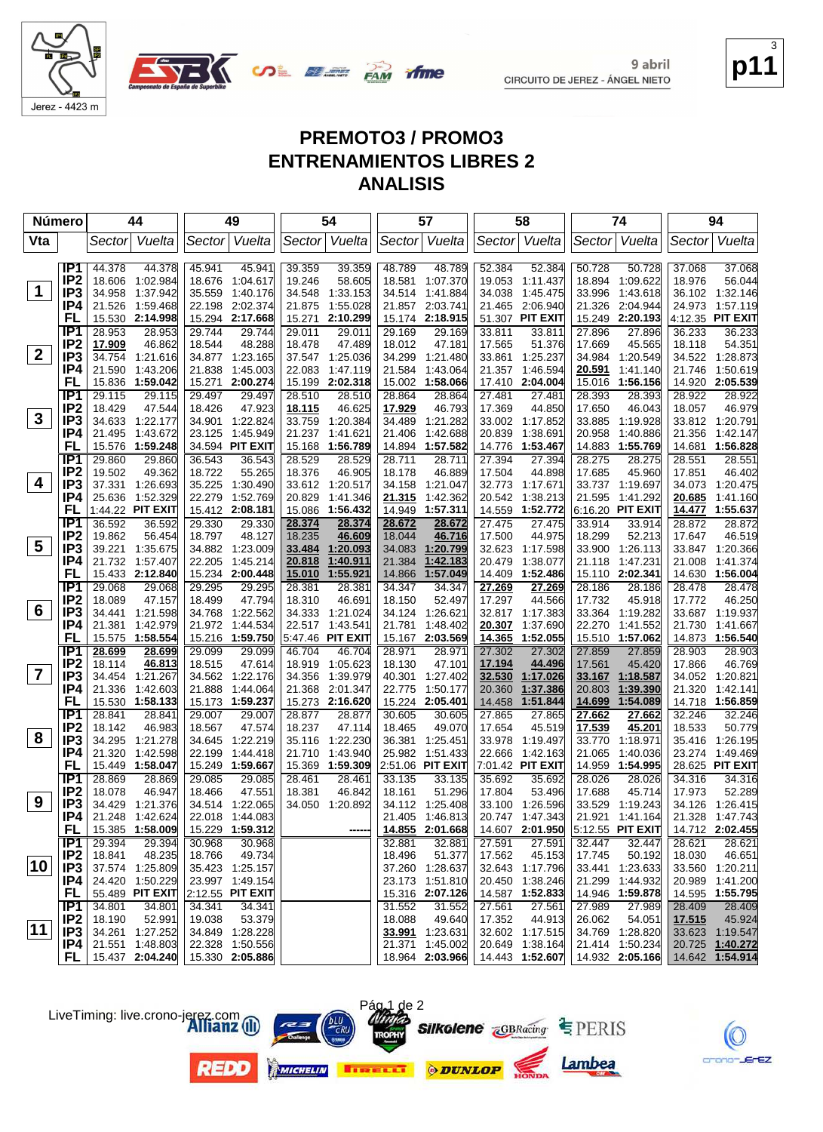



**p11** 3

#### **PREMOTO3 / PROMO3 ENTRENAMIENTOS LIBRES 2 ANALISIS**

**SALE AND TIME** 

| <b>Número</b>           |                                    | 44                                   | 49                                   | 54                                    | 57                                       | 58                                       | 74                                   | 94                                    |  |
|-------------------------|------------------------------------|--------------------------------------|--------------------------------------|---------------------------------------|------------------------------------------|------------------------------------------|--------------------------------------|---------------------------------------|--|
| Vta                     |                                    | Vuelta<br>Sector                     | Sector Vuelta                        | Sector Vuelta                         | Sector Vuelta                            | Sector Vuelta                            | Vuelta<br>Sector                     | Vuelta<br>Sector                      |  |
|                         | IP <sub>1</sub>                    | 44.378<br>44.378                     | 45.941<br>45.941                     | 39.359<br>39.359                      | 48.789<br>48.789                         | 52.384<br>52.384                         | 50.728<br>50.728                     | 37.068<br>37.068                      |  |
|                         | IP <sub>2</sub>                    | 18.606<br>1:02.984                   | 18.676<br>1:04.617                   | 19.246<br>58.605                      | 1:07.370<br>18.581                       | 19.053<br>1:11.437                       | 18.894<br>1:09.622                   | 18.976<br>56.044                      |  |
| $\mathbf 1$             | IP <sub>3</sub>                    | 34.958<br>1:37.942                   | 35.559<br>1:40.176                   | 1:33.153<br>34.548                    | 34.514<br>1:41.884                       | 34.038<br>1:45.475                       | 33.996<br>1:43.618                   | 36.102 1:32.146                       |  |
|                         | IP4                                | 21.526 1:59.468                      | 22.198 2:02.374                      | 1:55.028<br>21.875                    | 2:03.741<br>21.857                       | 2:06.940<br>21.465                       | 2:04.944<br>21.326                   | 24.973 1:57.119                       |  |
|                         | FL                                 | 15.530<br>2:14.998                   | 15.294<br>2:17.668                   | 15.271<br>2:10.299                    | 15.174 2:18.915                          | 51.307 PIT EXIT                          | 15.249<br>2:20.193                   | 4:12.35 PIT EXIT                      |  |
|                         | IP <sub>1</sub>                    | 28.953<br>28.953                     | 29.744<br>29.744                     | 29.011<br>29.011                      | 29.169<br>29.169                         | 33.811<br>33.811                         | 27.896<br>27.896                     | 36.233<br>36.233                      |  |
|                         | IP <sub>2</sub>                    | 17.909<br>46.862                     | 48.288<br>18.544                     | 18.478<br>47.489                      | 18.012<br>47.181                         | 17.565<br>51.376                         | 17.669<br>45.565                     | 18.118<br>54.351                      |  |
| $\mathbf{2}$            | IP <sub>3</sub>                    | 34.754<br>1:21.616                   | 34.877 1:23.165                      | 37.547 1:25.036                       | 34.299<br>1:21.480                       | 33.861<br>1:25.237                       | 34.984<br>1:20.549                   | 34.522 1:28.873                       |  |
|                         | IP4                                | 21.590<br>1:43.206                   | 21.838<br>1:45.003                   | 22.083<br>1:47.119                    | 21.584<br>1:43.064                       | 21.357<br>1:46.594                       | 1:41.140<br>20.591                   | 21.746<br>1:50.619                    |  |
|                         | FL                                 | 15.836<br>1:59.042                   | 2:00.274<br>15.271                   | 2:02.318<br>15.199                    | 15.002<br>1:58.066                       | 2:04.004<br>17.410                       | 15.016<br>1:56.156                   | 14.920 2:05.539                       |  |
|                         | IP <sub>1</sub>                    | 29.115<br>29.115                     | 29.497<br>29.497                     | 28.510<br>28.510                      | 28.864<br>28.864                         | 27.481<br>27.481                         | 28.393<br>28.393                     | 28.922<br>28.922                      |  |
|                         | IP <sub>2</sub>                    | 18.429<br>47.544                     | 47.923<br>18.426                     | 18.115<br>46.625                      | 17.929<br>46.793                         | 17.369<br>44.850                         | 17.650<br>46.043                     | 46.979<br>18.057                      |  |
| $\mathbf{3}$            | IP <sub>3</sub>                    | 34.633<br>1:22.177                   | 34.901 1:22.824                      | 1:20.384<br>33.759                    | 1:21.282<br>34.489                       | 33.002 1:17.852                          | 33.885<br>1:19.928                   | 33.812 1:20.791                       |  |
|                         | IP4                                | 21.495<br>1:43.672                   | 23.125<br>1:45.949                   | 21.237<br>1:41.621                    | 1:42.688<br>21.406                       | 20.839<br>1:38.691                       | 20.958<br>1:40.886                   | 1:42.147<br>21.356                    |  |
|                         | FL                                 | 15.576<br>1:59.248                   | 34.594 PIT EXIT                      | 15.168<br>1:56.789                    | 14.894<br>1:57.582                       | 1:53.467<br>14.776                       | 14.883<br>1:55.769                   | 14.681<br>1:56.828                    |  |
|                         | IP <sub>1</sub>                    | 29.860<br>29.860                     | 36.543<br>36.543                     | 28.529<br>28.529                      | 28.711<br>28.711                         | 27.394<br>27.394                         | 28.275<br>28.275                     | 28.551<br>28.551                      |  |
| 4                       | IP <sub>2</sub><br>IP <sub>3</sub> | 19.502<br>49.362<br>1:26.693         | 18.722<br>55.265<br>1:30.490         | 18.376<br>46.905                      | 18.178<br>46.889                         | 17.504<br>44.898                         | 17.685<br>45.960<br>33.737 1:19.697  | 17.851<br>46.402                      |  |
|                         | IP4                                | 37.331<br>25.636<br>1:52.329         | 35.225<br>1:52.769<br>22.279         | 33.612 1:20.517<br>20.829<br>1:41.346 | 34.158<br>1:21.047<br>21.315<br>1:42.362 | 32.773<br>1:17.671<br>20.542<br>1:38.213 | 21.595<br>1:41.292                   | 34.073 1:20.475<br>20.685<br>1:41.160 |  |
|                         | FL                                 | 1:44.22 PIT EXIT                     | 15.412 2:08.181                      | 15.086<br>1:56.432                    | 1:57.311<br>14.949                       | 14.559<br>1:52.772                       | 6:16.20 PIT EXIT                     | 14.477<br>1:55.637                    |  |
|                         | IP1                                | 36.592<br>36.592                     | 29.330<br>29.330                     | 28.374<br>28.374                      | 28.672<br>28.672                         | 27.475<br>27.475                         | 33.914<br>33.914                     | 28.872<br>28.872                      |  |
|                         | IP <sub>2</sub>                    | 19.862<br>56.454                     | 18.797<br>48.127                     | 18.235<br>46.609                      | 46.716<br>18.044                         | 17.500<br>44.975                         | 18.299<br>52.213                     | 17.647<br>46.519                      |  |
| $\overline{\mathbf{5}}$ | IP <sub>3</sub>                    | 39.221<br>1:35.675                   | 34.882 1:23.009                      | 33.484<br>1:20.093                    | 1:20.799<br>34.083                       | 32.623<br>1:17.598                       | 33.900<br>1:26.113                   | 33.847 1:20.366                       |  |
|                         | IP4                                | 21.732 1:57.407                      | 22.205<br>1:45.214                   | 20.818<br>1:40.911                    | 21.384<br>1:42.183                       | 1:38.077<br>20.479                       | 21.118<br>1:47.231                   | 21.008<br>1:41.374                    |  |
|                         | FL                                 | 15.433 2:12.840                      | 15.234 2:00.448                      | 1:55.921<br>15.010                    | 1:57.049<br>14.866                       | 14.409<br>1:52.486                       | 15.110 2:02.341                      | 14.630 1:56.004                       |  |
|                         | IP <sub>1</sub>                    | 29.068<br>29.068                     | 29.295<br>29.295                     | 28.381<br>28.381                      | 34.347<br>34.347                         | 27.269<br>27.269                         | 28.186<br>28.186                     | 28.478<br>28.478                      |  |
|                         | IP <sub>2</sub>                    | 18.089<br>47.157                     | 18.499<br>47.794                     | 46.691<br>18.310                      | 52.497<br>18.150                         | 17.297<br>44.566                         | 17.732<br>45.918                     | 17.772<br>46.250                      |  |
| 6                       | IP <sub>3</sub>                    | 34.441 1:21.598                      | 34.768<br>1:22.562                   | 34.333 1:21.024                       | 34.124<br>1:26.621                       | 1:17.383<br>32.817                       | 33.364<br>1:19.282                   | 33.687 1:19.937                       |  |
|                         | IP4                                | 21.381<br>1:42.979                   | 21.972<br>1:44.534                   | 22.517<br>1:43.541                    | 1:48.402<br>21.781                       | 20.307<br>1:37.690                       | 22.270<br>1:41.552                   | 21.730<br>1:41.667                    |  |
|                         | FL                                 | 15.575 1:58.554                      | 15.216 1:59.750                      | 5:47.46 PIT EXIT                      | 15.167<br>2:03.569                       | 14.365<br>1:52.055                       | 15.510 1:57.062                      | 14.873 1:56.540                       |  |
|                         | IP1                                | 28.699<br>28.699                     | 29.099<br>29.099                     | 46.704<br>46.704                      | 28.971<br>28.971                         | 27.302<br>27.302                         | 27.859<br>27.859                     | 28.903<br>28.903                      |  |
|                         | IP <sub>2</sub>                    | 18.114<br>46.813                     | 18.515<br>47.614                     | 18.919<br>1:05.623                    | 18.130<br>47.101                         | 17.194<br>44.496                         | 17.561<br>45.420                     | 17.866<br>46.769                      |  |
| $\overline{\mathbf{r}}$ | IP <sub>3</sub>                    | 34.454<br>1:21.267                   | 34.562 1:22.176                      | 34.356<br>1:39.979                    | 1:27.402<br>40.301                       | 32.530<br>1:17.026                       | 1:18.587<br>33.167                   | 34.052 1:20.821                       |  |
|                         | IP4                                | 21.336<br>1:42.603                   | 1:44.064<br>21.888                   | 2:01.347<br>21.368                    | 1:50.177<br>22.775                       | 20.360<br>1:37.386                       | 20.803<br>1:39.390                   | 1:42.141<br>21.320                    |  |
|                         | FL                                 | 15.530<br>1:58.133                   | 15.173 1:59.237                      | 2:16.620<br>15.273                    | 15.224 2:05.401                          | 1:51.844<br>14.458                       | 14.699<br>1:54.089                   | 14.718 1:56.859                       |  |
|                         | IP1<br>IP <sub>2</sub>             | 28.841<br>28.841<br>18.142<br>46.983 | 29.007<br>29.007<br>18.567<br>47.574 | 28.877<br>28.877<br>18.237<br>47.114  | 30.605<br>30.605<br>18.465<br>49.070     | 27.865<br>27.865<br>17.654<br>45.519     | 27.662<br>27.662<br>17.539<br>45.201 | 32.246<br>32.246<br>50.779<br>18.533  |  |
| 8                       | IP <sub>3</sub>                    | 34.295<br>1:21.278                   | 1:22.219<br>34.645                   | 1:22.230<br>35.116                    | 36.381<br>1:25.451                       | 33.978<br>1:19.497                       | 33.770<br>1:18.971                   | 35.416 1:26.195                       |  |
|                         | IP4                                | 21.320<br>1:42.598                   | 22.199<br>1:44.418                   | 21.710<br>1:43.940                    | 25.982<br>1:51.433                       | 22.666<br>1:42.163                       | 21.065<br>1:40.036                   | 23.274<br>1:49.469                    |  |
|                         | FL                                 | 15.449 1:58.047                      | 15.249 1:59.667                      | 15.369<br>1:59.309                    | 2:51.06 PIT EXIT                         | 7:01.42 PIT EXIT                         | 14.959<br>1:54.995                   | 28.625 PIT EXIT                       |  |
|                         | IP <sub>1</sub>                    | 28.869<br>28.869                     | 29.085<br>29.085                     | 28.461<br>28.461                      | 33.135<br>33.135                         | 35.692<br>35.692                         | 28.026<br>28.026                     | 34.316<br>34.316                      |  |
|                         | IP <sub>2</sub>                    | 18.078<br>46.947                     | 18.466<br>47.551                     | 46.842<br>18.381                      | 18.161<br>51.296                         | 17.804<br>53.496                         | 17.688<br>45.714                     | 17.973<br>52.289                      |  |
| 9                       | IP3                                | 34.429 1:21.376                      | 34.514 1:22.065                      | 34.050 1:20.892                       | 34.112 1:25.408                          | 33.100 1:26.596                          | 33.529 1:19.243                      | 34.126 1:26.415                       |  |
|                         | IP4                                | 21.248 1:42.624                      | 22.018 1:44.083                      |                                       | 21.405 1:46.813                          | 20.747 1:47.343                          | 21.921 1:41.164                      | 21.328 1:47.743                       |  |
|                         | FL.                                | 15.385 1:58.009                      | 15.229 1:59.312                      |                                       | 14.855 2:01.668                          | 14.607 2:01.950                          | 5:12.55 PIT EXIT                     | 14.712 2:02.455                       |  |
|                         | IP <sub>1</sub>                    | 29.394<br>29.394                     | 30.968<br>30.968                     |                                       | 32.881<br>32.881                         | 27.591<br>27.591                         | 32.447<br>32.447                     | 28.621<br>28.621                      |  |
|                         | IP <sub>2</sub>                    | 48.235<br>18.841                     | 18.766<br>49.734                     |                                       | 51.377<br>18.496                         | 17.562<br>45.153                         | 17.745<br>50.192                     | 18.030<br>46.651                      |  |
| 10                      | IP3                                | 37.574 1:25.809                      | 35.423 1:25.157                      |                                       | 37.260 1:28.637                          | 32.643 1:17.796                          | 33.441 1:23.633                      | 33.560 1:20.211                       |  |
|                         | IP4                                | 24.420 1:50.229                      | 23.997 1:49.154                      |                                       | 23.173 1:51.810                          | 20.450 1:38.246                          | 21.299<br>1:44.932                   | 20.989 1:41.200                       |  |
|                         | FL.                                | 55.489 PIT EXIT                      | 2:12.55 PIT EXIT                     |                                       | 15.316 2:07.126                          | 14.587 1:52.833                          | 14.946 1:59.878                      | 14.595 1:55.795                       |  |
|                         | IP1                                | 34.801<br>34.801                     | 34.341<br>34.341                     |                                       | 31.552<br>31.552                         | 27.561<br>27.561                         | 27.989<br>27.989                     | 28.409<br>28.409                      |  |
| $ 11\rangle$            | IP <sub>2</sub>                    | 18.190<br>52.991                     | 19.038<br>53.379                     |                                       | 18.088<br>49.640                         | 17.352<br>44.913                         | 26.062<br>54.051                     | 17.515<br>45.924                      |  |
|                         | IP3                                | 34.261 1:27.252                      | 34.849 1:28.228                      |                                       | 33.991 1:23.631                          | 32.602 1:17.515                          | 34.769 1:28.820                      | 33.623 1:19.547                       |  |
|                         | IP4.<br>FL I                       | 21.551 1:48.803                      | 22.328 1:50.556                      |                                       | 1:45.002<br>21.371                       | 20.649 1:38.164                          | 21.414 1:50.234                      | 20.725 1:40.272<br>14.642 1:54.914    |  |
|                         |                                    | 15.437 2:04.240                      | 15.330 2:05.886                      |                                       | 18.964 2:03.966                          | $14.443$ 1:52.607                        | 14.932 2:05.166                      |                                       |  |











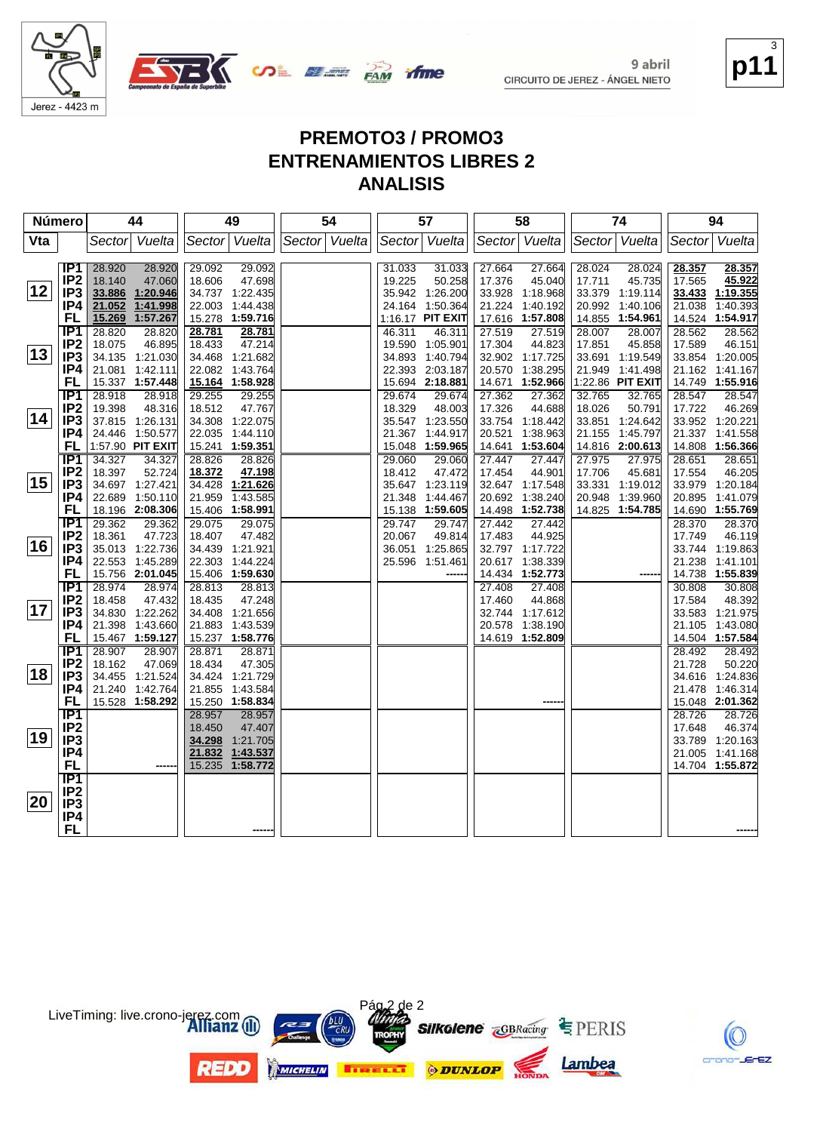

**UDE BEER PAN** 

**p11** 3

crono-JErEZ

### **PREMOTO3 / PROMO3 ENTRENAMIENTOS LIBRES 2 ANALISIS**

**fime** 

| Número |                                    | 44     |                                    | 49     |                             | 54            |  | 57     |                             | 58     |                                    | 74     |                             | 94     |                             |
|--------|------------------------------------|--------|------------------------------------|--------|-----------------------------|---------------|--|--------|-----------------------------|--------|------------------------------------|--------|-----------------------------|--------|-----------------------------|
| Vta    |                                    |        | Sector Vuelta                      |        | Sector Vuelta               | Sector Vuelta |  |        | Sector Vuelta               |        | Sector Vuelta                      | Sector | Vuelta                      | Sector | Vuelta                      |
|        |                                    |        |                                    |        |                             |               |  |        |                             |        |                                    |        |                             |        |                             |
|        | IP1                                | 28.920 | 28.920                             | 29.092 | 29.092                      |               |  | 31.033 | 31.033                      | 27.664 | 27.664                             | 28.024 | 28.024                      | 28.357 | 28.357                      |
|        | IP <sub>2</sub>                    | 18.140 | 47.060                             | 18.606 | 47.698                      |               |  | 19.225 | 50.258                      | 17.376 | 45.040                             | 17.711 | 45.735                      | 17.565 | 45.922                      |
| 12     | IP <sub>3</sub>                    |        | 33.886 1:20.946                    |        | 34.737 1:22.435             |               |  |        | 35.942 1:26.200             |        | 33.928 1:18.968                    |        | 33.379 1:19.114             | 33.433 | 1:19.355                    |
|        | IP4                                | 21.052 | 1:41.998                           | 22.003 | 1:44.438                    |               |  |        | 24.164 1:50.364             | 21.224 | 1:40.192                           |        | 20.992 1:40.106             | 21.038 | 1:40.393                    |
|        | FL                                 | 15.269 | 1:57.267                           |        | 15.278 1:59.716             |               |  |        | 1:16.17 PIT EXIT            |        | 17.616 1:57.808                    |        | 14.855 1:54.961             |        | 14.524 1:54.917             |
|        | IP <sub>1</sub>                    | 28.820 | 28.820                             | 28.781 | 28.781                      |               |  | 46.311 | 46.311                      | 27.519 | 27.519                             | 28.007 | 28.007                      | 28.562 | 28.562                      |
|        | IP <sub>2</sub>                    | 18.075 | 46.895                             | 18.433 | 47.214                      |               |  |        | 19.590 1:05.901             | 17.304 | 44.823                             | 17.851 | 45.858                      | 17.589 | 46.151                      |
| 13     | IP <sub>3</sub>                    |        | 34.135 1:21.030                    | 34.468 | 1:21.682                    |               |  | 34.893 | 1:40.794                    |        | 32.902 1:17.725                    | 33.691 | 1:19.549                    |        | 33.854 1:20.005             |
|        | IP4                                |        | 21.081 1:42.111                    |        | 22.082 1:43.764             |               |  |        | 22.393 2:03.187             | 20.570 | 1:38.295                           | 21.949 | 1:41.498                    |        | 21.162 1:41.167             |
|        | FL                                 |        | 15.337 1:57.448                    |        | 15.164 1:58.928             |               |  |        | 15.694 2:18.881             | 14.671 | 1:52.966                           |        | 1:22.86 PIT EXIT            |        | 14.749 1:55.916             |
|        | IP1                                | 28.918 | 28.918                             | 29.255 | 29.255                      |               |  | 29.674 | 29.674                      | 27.362 | 27.362                             | 32.765 | 32.765                      | 28.547 | 28.547                      |
|        | IP <sub>2</sub>                    | 19.398 | 48.316                             | 18.512 | 47.767                      |               |  | 18.329 | 48.003                      | 17.326 | 44.688                             | 18.026 | 50.791                      | 17.722 | 46.269                      |
| 14     | IP <sub>3</sub>                    |        | 37.815 1:26.131                    | 34.308 | 1:22.075                    |               |  |        | 35.547 1:23.550             | 33.754 | 1:18.442                           |        | 33.851 1:24.642             |        | 33.952 1:20.221             |
|        | IP4                                |        | 24.446 1:50.577                    | 22.035 | 1:44.110                    |               |  | 21.367 | 1:44.917                    | 20.521 | 1:38.963                           | 21.155 | 1:45.797                    |        | 21.337 1:41.558             |
|        | FL                                 |        | 1:57.90 PIT EXIT                   |        | 15.241 1:59.351             |               |  | 15.048 | 1:59.965                    | 14.641 | 1:53.604                           |        | 14.816 2:00.613             | 14.808 | 1:56.366                    |
|        | IP1                                | 34.327 | 34.327                             | 28.826 | 28.826                      |               |  | 29.060 | 29.060                      | 27.447 | 27.447                             | 27.975 | 27.975                      | 28.651 | 28.651                      |
| 15     | IP <sub>2</sub>                    | 18.397 | 52.724                             | 18.372 | 47.198                      |               |  | 18.412 | 47.472                      | 17.454 | 44.901                             | 17.706 | 45.681                      | 17.554 | 46.205                      |
|        | IP <sub>3</sub>                    |        | 34.697 1:27.421                    | 34.428 | 1:21.626                    |               |  |        | 35.647 1:23.119             | 32.647 | 1:17.548                           | 33.331 | 1:19.012                    | 33.979 | 1:20.184                    |
|        | IP4<br>FL                          |        | 22.689 1:50.110<br>18.196 2:08.306 | 21.959 | 1:43.585<br>15.406 1:58.991 |               |  | 21.348 | 1:44.467<br>15.138 1:59.605 |        | 20.692 1:38.240<br>14.498 1:52.738 | 20.948 | 1:39.960<br>14.825 1:54.785 | 20.895 | 1:41.079<br>14.690 1:55.769 |
|        | $\overline{IP1}$                   | 29.362 |                                    | 29.075 | 29.075                      |               |  | 29.747 | 29.747                      | 27.442 | 27.442                             |        |                             | 28.370 | 28.370                      |
|        | IP <sub>2</sub>                    | 18.361 | 29.362<br>47.723                   | 18.407 | 47.482                      |               |  | 20.067 | 49.814                      | 17.483 | 44.925                             |        |                             | 17.749 | 46.119                      |
| 16     | IP <sub>3</sub>                    |        | 35.013 1:22.736                    | 34.439 | 1:21.921                    |               |  | 36.051 | 1:25.865                    |        | 32.797 1:17.722                    |        |                             |        | 33.744 1:19.863             |
|        | IP4                                |        | 22.553 1:45.289                    | 22.303 | 1:44.224                    |               |  |        | 25.596 1:51.461             |        | 20.617 1:38.339                    |        |                             |        | 21.238 1:41.101             |
|        | FL                                 |        | 15.756 2:01.045                    |        | 15.406 1:59.630             |               |  |        |                             |        | 14.434 1:52.773                    |        |                             |        | 14.738 1:55.839             |
|        | IP <sub>1</sub>                    | 28.974 | 28.974                             | 28.813 | 28.813                      |               |  |        |                             | 27.408 | 27.408                             |        |                             | 30.808 | 30.808                      |
|        | IP <sub>2</sub>                    | 18.458 | 47.432                             | 18.435 | 47.248                      |               |  |        |                             | 17.460 | 44.868                             |        |                             | 17.584 | 48.392                      |
| 17     | IP <sub>3</sub>                    |        | 34.830 1:22.262                    |        | 34.408 1:21.656             |               |  |        |                             |        | 32.744 1:17.612                    |        |                             |        | 33.583 1:21.975             |
|        | IP4                                |        | 21.398 1:43.660                    | 21.883 | 1:43.539                    |               |  |        |                             | 20.578 | 1:38.190                           |        |                             |        | 21.105 1:43.080             |
|        | FL                                 |        | 15.467 1:59.127                    |        | 15.237 1:58.776             |               |  |        |                             |        | 14.619 1:52.809                    |        |                             |        | 14.504 1:57.584             |
|        | IP1                                | 28.907 | 28.907                             | 28.871 | 28.871                      |               |  |        |                             |        |                                    |        |                             | 28.492 | 28.492                      |
|        | IP <sub>2</sub>                    | 18.162 | 47.069                             | 18.434 | 47.305                      |               |  |        |                             |        |                                    |        |                             | 21.728 | 50.220                      |
| 18     | IP <sub>3</sub>                    |        | 34.455 1:21.524                    |        | 34.424 1:21.729             |               |  |        |                             |        |                                    |        |                             |        | 34.616 1:24.836             |
|        | IP4                                |        | 21.240 1:42.764                    | 21.855 | 1:43.584                    |               |  |        |                             |        |                                    |        |                             |        | 21.478 1:46.314             |
|        | FL                                 |        | 15.528 1:58.292                    |        | 15.250 1:58.834             |               |  |        |                             |        |                                    |        |                             |        | 15.048 2:01.362             |
|        | TP1                                |        |                                    | 28.957 | 28.957                      |               |  |        |                             |        |                                    |        |                             | 28.726 | 28.726                      |
|        | IP <sub>2</sub>                    |        |                                    | 18.450 | 47.407                      |               |  |        |                             |        |                                    |        |                             | 17.648 | 46.374                      |
| 19     | IP <sub>3</sub>                    |        |                                    | 34.298 | 1:21.705                    |               |  |        |                             |        |                                    |        |                             |        | 33.789 1:20.163             |
|        | IP4                                |        |                                    | 21.832 | 1:43.537                    |               |  |        |                             |        |                                    |        |                             |        | 21.005 1:41.168             |
|        | <b>FL</b>                          |        |                                    | 15.235 | 1:58.772                    |               |  |        |                             |        |                                    |        |                             |        | 14.704 1:55.872             |
|        | $\overline{IP1}$                   |        |                                    |        |                             |               |  |        |                             |        |                                    |        |                             |        |                             |
| 20     | IP <sub>2</sub><br>IP <sub>3</sub> |        |                                    |        |                             |               |  |        |                             |        |                                    |        |                             |        |                             |
|        |                                    |        |                                    |        |                             |               |  |        |                             |        |                                    |        |                             |        |                             |
|        | IP4<br><b>FL</b>                   |        |                                    |        |                             |               |  |        |                             |        |                                    |        |                             |        |                             |
|        |                                    |        |                                    |        |                             |               |  |        |                             |        |                                    |        |                             |        |                             |

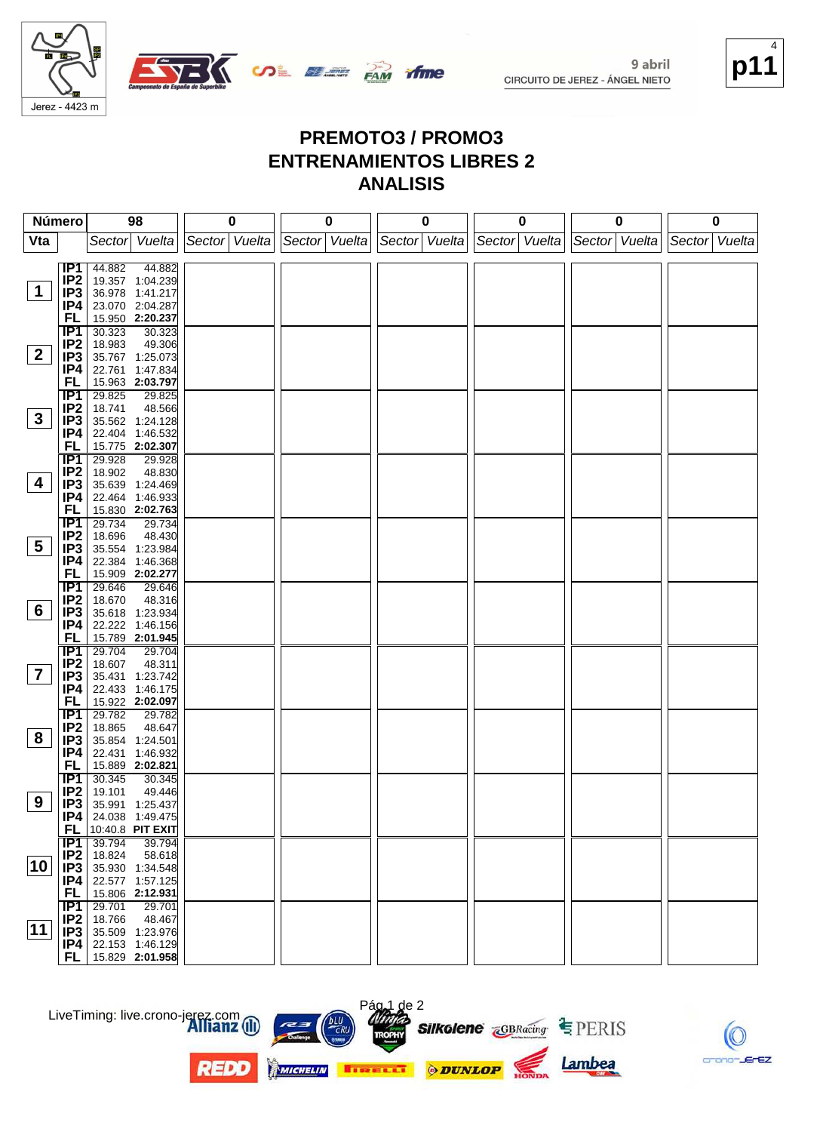

**SALE AND TIME** 



#### **PREMOTO3 / PROMO3 ENTRENAMIENTOS LIBRES 2 ANALISIS**

| Número                  |                              | 98                                   | 0<br>0        |               | 0             | 0             | 0             | 0                |  |
|-------------------------|------------------------------|--------------------------------------|---------------|---------------|---------------|---------------|---------------|------------------|--|
| Vta                     |                              | Sector Vuelta                        | Sector Vuelta | Sector Vuelta | Sector Vuelta | Sector Vuelta | Sector Vuelta | Vuelta<br>Sector |  |
|                         |                              |                                      |               |               |               |               |               |                  |  |
|                         | IP1                          | 44.882<br>44.882                     |               |               |               |               |               |                  |  |
|                         | IP <sub>2</sub>              | 19.357 1:04.239                      |               |               |               |               |               |                  |  |
| $\mathbf 1$             | IP3                          | 36.978 1:41.217                      |               |               |               |               |               |                  |  |
|                         | IP4                          | 23.070 2:04.287                      |               |               |               |               |               |                  |  |
|                         | FL                           | 15.950 2:20.237                      |               |               |               |               |               |                  |  |
|                         | IP1<br>IP <sub>2</sub>       | 30.323<br>30.323<br>18.983<br>49.306 |               |               |               |               |               |                  |  |
| $\mathbf{2}$            | IP <sub>3</sub>              | 35.767 1:25.073                      |               |               |               |               |               |                  |  |
|                         | IP4                          | 22.761 1:47.834                      |               |               |               |               |               |                  |  |
|                         | <b>FL</b>                    | 15.963 2:03.797                      |               |               |               |               |               |                  |  |
|                         | $\overline{IP1}$             | 29.825<br>29.825                     |               |               |               |               |               |                  |  |
|                         | IP <sub>2</sub>              | 18.741<br>48.566                     |               |               |               |               |               |                  |  |
| $\mathbf{3}$            | IP <sub>3</sub>              | 35.562 1:24.128                      |               |               |               |               |               |                  |  |
|                         | IP4                          | 22.404 1:46.532                      |               |               |               |               |               |                  |  |
|                         | FL                           | 15.775 2:02.307                      |               |               |               |               |               |                  |  |
|                         | IP1                          | 29.928<br>29.928                     |               |               |               |               |               |                  |  |
| $\overline{\mathbf{4}}$ | IP <sub>2</sub>              | 18.902<br>48.830                     |               |               |               |               |               |                  |  |
|                         | IP <sub>3</sub>              | 35.639 1:24.469<br>22.464 1:46.933   |               |               |               |               |               |                  |  |
|                         | IP4<br>FL                    | 15.830 2:02.763                      |               |               |               |               |               |                  |  |
|                         | $\overline{IP1}$             | 29.734<br>29.734                     |               |               |               |               |               |                  |  |
|                         | IP <sub>2</sub>              | 18.696<br>48.430                     |               |               |               |               |               |                  |  |
| $5\overline{)}$         | IP <sub>3</sub>              | 35.554 1:23.984                      |               |               |               |               |               |                  |  |
|                         | IP4                          | 22.384 1:46.368                      |               |               |               |               |               |                  |  |
|                         | FL                           | 15.909 2:02.277                      |               |               |               |               |               |                  |  |
|                         | $\overline{IP1}$             | 29.646<br>29.646                     |               |               |               |               |               |                  |  |
|                         | IP <sub>2</sub>              | 18.670<br>48.316                     |               |               |               |               |               |                  |  |
| $6\phantom{1}$          | IP <sub>3</sub>              | 35.618 1:23.934                      |               |               |               |               |               |                  |  |
|                         | IP4                          | 22.222 1:46.156                      |               |               |               |               |               |                  |  |
|                         | FL<br>IP1                    | 15.789 2:01.945<br>29.704<br>29.704  |               |               |               |               |               |                  |  |
|                         | IP <sub>2</sub>              | 18.607<br>48.311                     |               |               |               |               |               |                  |  |
| $\overline{\mathbf{7}}$ | IP <sub>3</sub>              | 35.431 1:23.742                      |               |               |               |               |               |                  |  |
|                         | IP4                          | 22.433 1:46.175                      |               |               |               |               |               |                  |  |
|                         | <b>FL</b>                    | 15.922 2:02.097                      |               |               |               |               |               |                  |  |
|                         | <b>IP1</b>                   | 29.782<br>29.782                     |               |               |               |               |               |                  |  |
|                         | IP <sub>2</sub>              | 18.865<br>48.647                     |               |               |               |               |               |                  |  |
| 8                       | IP <sub>3</sub>              | 35.854 1:24.501                      |               |               |               |               |               |                  |  |
|                         | IP4                          | 22.431 1:46.932                      |               |               |               |               |               |                  |  |
|                         | <b>FL</b><br>IP <sub>1</sub> | 15.889 2:02.821<br>30.345<br>30.345  |               |               |               |               |               |                  |  |
|                         | IP <sub>2</sub>              | 19.101<br>49.446                     |               |               |               |               |               |                  |  |
| 9                       | IP <sub>3</sub>              | 35.991 1:25.437                      |               |               |               |               |               |                  |  |
|                         | IP4                          | 24.038 1:49.475                      |               |               |               |               |               |                  |  |
|                         | FL                           | 10:40.8 PIT EXIT                     |               |               |               |               |               |                  |  |
|                         | IP1                          | 39.794<br>39.794                     |               |               |               |               |               |                  |  |
|                         | IP2                          | 18.824<br>58.618                     |               |               |               |               |               |                  |  |
| 10                      | IP <sub>3</sub>              | 35.930 1:34.548                      |               |               |               |               |               |                  |  |
|                         | IP4                          | 22.577 1:57.125                      |               |               |               |               |               |                  |  |
|                         | <b>FL</b><br>IP1             | 15.806 2:12.931<br>29.701<br>29.701  |               |               |               |               |               |                  |  |
|                         | IP <sub>2</sub>              | 18.766<br>48.467                     |               |               |               |               |               |                  |  |
| 11                      |                              | IP3 35.509 1:23.976                  |               |               |               |               |               |                  |  |
|                         |                              | $IP4$ 22.153 1:46.129                |               |               |               |               |               |                  |  |
|                         | FL                           | 15.829 2:01.958                      |               |               |               |               |               |                  |  |



**REDO** 





Pág 1 de 2





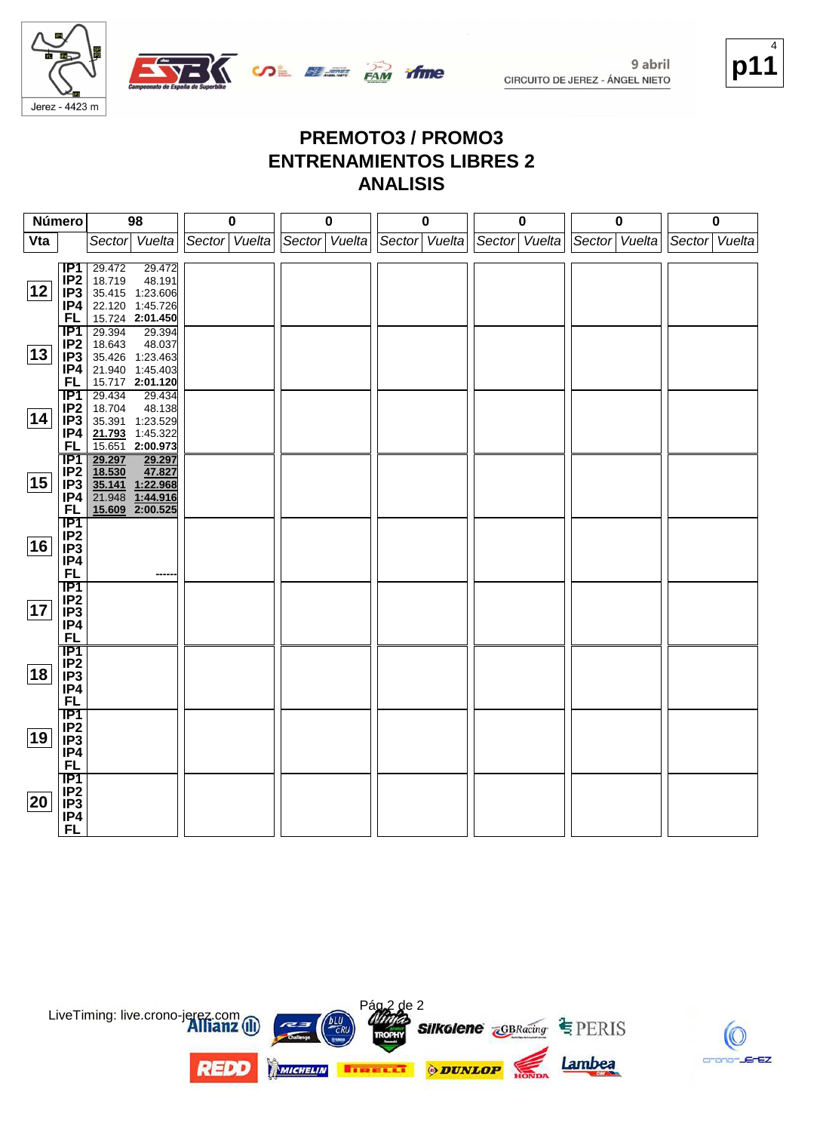

**OR BEER PAM** 



 $\mathbb{C}$ crono-JErEZ

#### **PREMOTO3 / PROMO3 ENTRENAMIENTOS LIBRES 2 ANALISIS**

ifme

| <b>Número</b> |                                     | 98                        |                  | $\pmb{0}$     |  | $\pmb{0}$<br>$\pmb{0}$ |  | $\pmb{0}$     |  | 0             |  | $\pmb{0}$     |  |               |  |
|---------------|-------------------------------------|---------------------------|------------------|---------------|--|------------------------|--|---------------|--|---------------|--|---------------|--|---------------|--|
| Vta           |                                     | Sector Vuelta             |                  | Sector Vuelta |  | Sector Vuelta          |  | Sector Vuelta |  | Sector Vuelta |  | Sector Vuelta |  | Sector Vuelta |  |
|               | IP1                                 | 29.472                    |                  |               |  |                        |  |               |  |               |  |               |  |               |  |
|               | iP2                                 | 18.719                    | 29.472<br>48.191 |               |  |                        |  |               |  |               |  |               |  |               |  |
| 12            | IP <sub>3</sub>                     | 35.415 1:23.606           |                  |               |  |                        |  |               |  |               |  |               |  |               |  |
|               | IP4                                 | 22.120 1:45.726           |                  |               |  |                        |  |               |  |               |  |               |  |               |  |
|               | <b>FL</b>                           | 15.724 2:01.450           |                  |               |  |                        |  |               |  |               |  |               |  |               |  |
|               | $\overline{IP1}$<br>IP <sub>2</sub> | 29.394<br>18.643          | 29.394<br>48.037 |               |  |                        |  |               |  |               |  |               |  |               |  |
| 13            | IP <sub>3</sub>                     | 35.426 1:23.463           |                  |               |  |                        |  |               |  |               |  |               |  |               |  |
|               | IP4                                 | 21.940 1:45.403           |                  |               |  |                        |  |               |  |               |  |               |  |               |  |
|               | <b>FL</b>                           | 15.717 2:01.120           |                  |               |  |                        |  |               |  |               |  |               |  |               |  |
|               | <b>IP1</b>                          | 29.434<br>18.704          | 29.434<br>48.138 |               |  |                        |  |               |  |               |  |               |  |               |  |
| 14            | IP <sub>2</sub><br>IP <sub>3</sub>  | 35.391 1:23.529           |                  |               |  |                        |  |               |  |               |  |               |  |               |  |
|               | IP4                                 | 21.793                    | 1:45.322         |               |  |                        |  |               |  |               |  |               |  |               |  |
|               | <b>FL</b>                           | 15.651 2:00.973           |                  |               |  |                        |  |               |  |               |  |               |  |               |  |
|               | IP <sub>1</sub>                     | 29.297                    | 29.297<br>47.827 |               |  |                        |  |               |  |               |  |               |  |               |  |
| 15            | IP <sub>2</sub><br>IP <sub>3</sub>  | 18.530<br>35.141 1:22.968 |                  |               |  |                        |  |               |  |               |  |               |  |               |  |
|               | IP4                                 | 21.948                    | 1:44.916         |               |  |                        |  |               |  |               |  |               |  |               |  |
|               | <b>FL</b>                           | 15.609 2:00.525           |                  |               |  |                        |  |               |  |               |  |               |  |               |  |
|               | $\overline{IP1}$                    |                           |                  |               |  |                        |  |               |  |               |  |               |  |               |  |
| 16            | IP <sub>2</sub>                     |                           |                  |               |  |                        |  |               |  |               |  |               |  |               |  |
|               | IP3<br>IP4                          |                           |                  |               |  |                        |  |               |  |               |  |               |  |               |  |
|               | <b>FL</b>                           |                           |                  |               |  |                        |  |               |  |               |  |               |  |               |  |
|               | IP1                                 |                           |                  |               |  |                        |  |               |  |               |  |               |  |               |  |
| 17            | IP2                                 |                           |                  |               |  |                        |  |               |  |               |  |               |  |               |  |
|               | IP3<br>IP <sub>4</sub>              |                           |                  |               |  |                        |  |               |  |               |  |               |  |               |  |
|               | <b>FL</b>                           |                           |                  |               |  |                        |  |               |  |               |  |               |  |               |  |
|               | IP <sub>1</sub>                     |                           |                  |               |  |                        |  |               |  |               |  |               |  |               |  |
|               | IP <sub>2</sub>                     |                           |                  |               |  |                        |  |               |  |               |  |               |  |               |  |
| 18            | IP3<br>IP4                          |                           |                  |               |  |                        |  |               |  |               |  |               |  |               |  |
|               | <b>FL</b>                           |                           |                  |               |  |                        |  |               |  |               |  |               |  |               |  |
|               | $\overline{IP1}$                    |                           |                  |               |  |                        |  |               |  |               |  |               |  |               |  |
|               | IP <sub>2</sub><br>IP <sub>3</sub>  |                           |                  |               |  |                        |  |               |  |               |  |               |  |               |  |
| 19            |                                     |                           |                  |               |  |                        |  |               |  |               |  |               |  |               |  |
|               | IP4<br><b>FL</b>                    |                           |                  |               |  |                        |  |               |  |               |  |               |  |               |  |
|               | $\overline{IP1}$                    |                           |                  |               |  |                        |  |               |  |               |  |               |  |               |  |
|               | IP <sub>2</sub>                     |                           |                  |               |  |                        |  |               |  |               |  |               |  |               |  |
| 20            | IP <sub>3</sub>                     |                           |                  |               |  |                        |  |               |  |               |  |               |  |               |  |
|               | IP4<br><b>FL</b>                    |                           |                  |               |  |                        |  |               |  |               |  |               |  |               |  |
|               |                                     |                           |                  |               |  |                        |  |               |  |               |  |               |  |               |  |

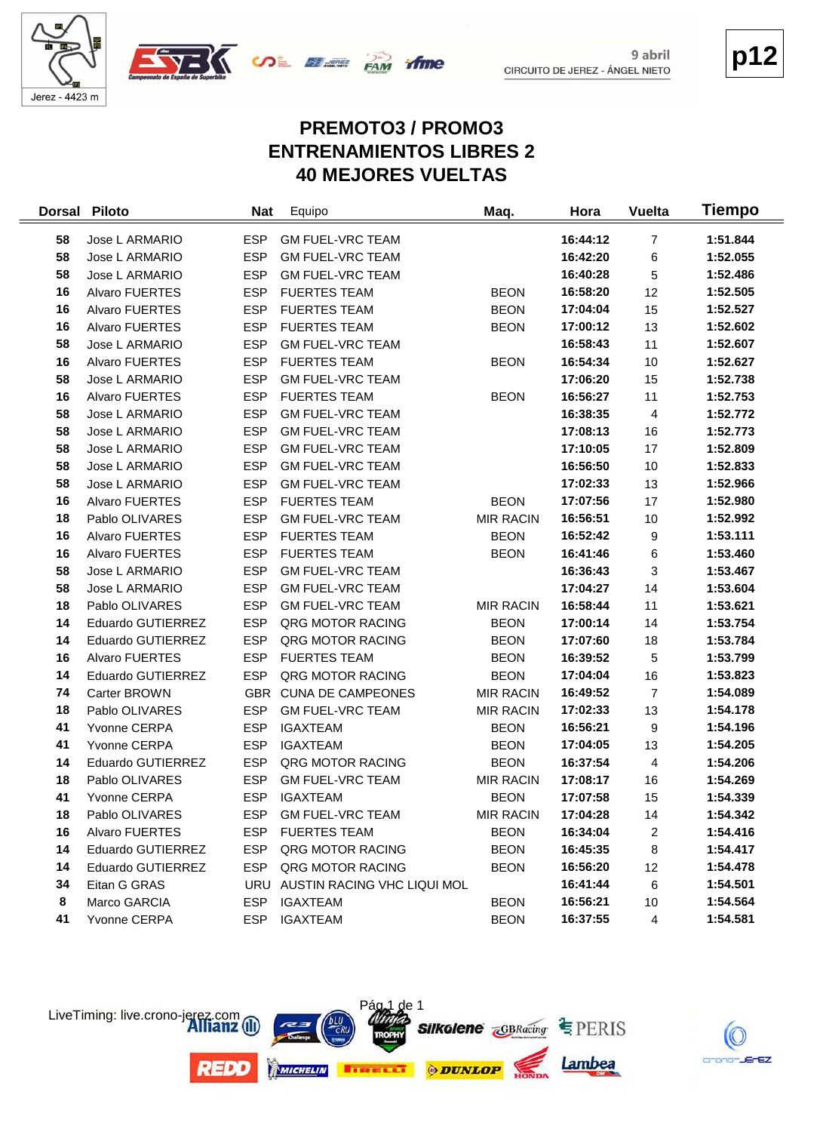



**p12**

# **PREMOTO3 / PROMO3 ENTRENAMIENTOS LIBRES 2 40 MEJORES VUELTAS**

| <b>Dorsal</b> | <b>Piloto</b>         | <b>Nat</b> | Equipo                          | Maq.             | Hora     | <b>Vuelta</b>  | Tiempo   |
|---------------|-----------------------|------------|---------------------------------|------------------|----------|----------------|----------|
| 58            | Jose L ARMARIO        | <b>ESP</b> | <b>GM FUEL-VRC TEAM</b>         |                  | 16:44:12 | $\overline{7}$ | 1:51.844 |
| 58            | Jose L ARMARIO        | <b>ESP</b> | <b>GM FUEL-VRC TEAM</b>         |                  | 16:42:20 | 6              | 1:52.055 |
| 58            | Jose L ARMARIO        | <b>ESP</b> | <b>GM FUEL-VRC TEAM</b>         |                  | 16:40:28 | $\sqrt{5}$     | 1:52.486 |
| 16            | <b>Alvaro FUERTES</b> | <b>ESP</b> | <b>FUERTES TEAM</b>             | <b>BEON</b>      | 16:58:20 | 12             | 1:52.505 |
| 16            | Alvaro FUERTES        | <b>ESP</b> | <b>FUERTES TEAM</b>             | <b>BEON</b>      | 17:04:04 | 15             | 1:52.527 |
| 16            | Alvaro FUERTES        | <b>ESP</b> | <b>FUERTES TEAM</b>             | <b>BEON</b>      | 17:00:12 | 13             | 1:52.602 |
| 58            | Jose L ARMARIO        | <b>ESP</b> | <b>GM FUEL-VRC TEAM</b>         |                  | 16:58:43 | 11             | 1:52.607 |
| 16            | Alvaro FUERTES        | <b>ESP</b> | <b>FUERTES TEAM</b>             | <b>BEON</b>      | 16:54:34 | 10             | 1:52.627 |
| 58            | Jose L ARMARIO        | <b>ESP</b> | <b>GM FUEL-VRC TEAM</b>         |                  | 17:06:20 | 15             | 1:52.738 |
| 16            | Alvaro FUERTES        | <b>ESP</b> | <b>FUERTES TEAM</b>             | <b>BEON</b>      | 16:56:27 | 11             | 1:52.753 |
| 58            | Jose L ARMARIO        | <b>ESP</b> | <b>GM FUEL-VRC TEAM</b>         |                  | 16:38:35 | 4              | 1:52.772 |
| 58            | Jose L ARMARIO        | <b>ESP</b> | <b>GM FUEL-VRC TEAM</b>         |                  | 17:08:13 | 16             | 1:52.773 |
| 58            | Jose L ARMARIO        | <b>ESP</b> | <b>GM FUEL-VRC TEAM</b>         |                  | 17:10:05 | 17             | 1:52.809 |
| 58            | Jose L ARMARIO        | <b>ESP</b> | <b>GM FUEL-VRC TEAM</b>         |                  | 16:56:50 | 10             | 1:52.833 |
| 58            | Jose L ARMARIO        | <b>ESP</b> | <b>GM FUEL-VRC TEAM</b>         |                  | 17:02:33 | 13             | 1:52.966 |
| 16            | Alvaro FUERTES        | <b>ESP</b> | <b>FUERTES TEAM</b>             | <b>BEON</b>      | 17:07:56 | 17             | 1:52.980 |
| 18            | Pablo OLIVARES        | <b>ESP</b> | <b>GM FUEL-VRC TEAM</b>         | <b>MIR RACIN</b> | 16:56:51 | 10             | 1:52.992 |
| 16            | Alvaro FUERTES        | <b>ESP</b> | <b>FUERTES TEAM</b>             | <b>BEON</b>      | 16:52:42 | 9              | 1:53.111 |
| 16            | Alvaro FUERTES        | <b>ESP</b> | <b>FUERTES TEAM</b>             | <b>BEON</b>      | 16:41:46 | 6              | 1:53.460 |
| 58            | Jose L ARMARIO        | <b>ESP</b> | <b>GM FUEL-VRC TEAM</b>         |                  | 16:36:43 | 3              | 1:53.467 |
| 58            | Jose L ARMARIO        | <b>ESP</b> | <b>GM FUEL-VRC TEAM</b>         |                  | 17:04:27 | 14             | 1:53.604 |
| 18            | Pablo OLIVARES        | ESP        | <b>GM FUEL-VRC TEAM</b>         | <b>MIR RACIN</b> | 16:58:44 | 11             | 1:53.621 |
| 14            | Eduardo GUTIERREZ     | <b>ESP</b> | QRG MOTOR RACING                | <b>BEON</b>      | 17:00:14 | 14             | 1:53.754 |
| 14            | Eduardo GUTIERREZ     | <b>ESP</b> | QRG MOTOR RACING                | <b>BEON</b>      | 17:07:60 | 18             | 1:53.784 |
| 16            | <b>Alvaro FUERTES</b> | <b>ESP</b> | <b>FUERTES TEAM</b>             | <b>BEON</b>      | 16:39:52 | 5              | 1:53.799 |
| 14            | Eduardo GUTIERREZ     | <b>ESP</b> | QRG MOTOR RACING                | <b>BEON</b>      | 17:04:04 | 16             | 1:53.823 |
| 74            | Carter BROWN          |            | GBR CUNA DE CAMPEONES           | <b>MIR RACIN</b> | 16:49:52 | $\overline{7}$ | 1:54.089 |
| 18            | Pablo OLIVARES        | <b>ESP</b> | <b>GM FUEL-VRC TEAM</b>         | <b>MIR RACIN</b> | 17:02:33 | 13             | 1:54.178 |
| 41            | Yvonne CERPA          | <b>ESP</b> | <b>IGAXTEAM</b>                 | <b>BEON</b>      | 16:56:21 | 9              | 1:54.196 |
| 41            | Yvonne CERPA          | <b>ESP</b> | <b>IGAXTEAM</b>                 | <b>BEON</b>      | 17:04:05 | 13             | 1:54.205 |
| 14            | Eduardo GUTIERREZ     | <b>ESP</b> | QRG MOTOR RACING                | <b>BEON</b>      | 16:37:54 | 4              | 1:54.206 |
| 18            | Pablo OLIVARES        | <b>ESP</b> | <b>GM FUEL-VRC TEAM</b>         | <b>MIR RACIN</b> | 17:08:17 | 16             | 1:54.269 |
| 41            | Yvonne CERPA          | <b>ESP</b> | <b>IGAXTEAM</b>                 | <b>BEON</b>      | 17:07:58 | 15             | 1:54.339 |
| 18            | Pablo OLIVARES        | ESP        | <b>GM FUEL-VRC TEAM</b>         | <b>MIR RACIN</b> | 17:04:28 | 14             | 1:54.342 |
| 16            | Alvaro FUERTES        | ESP        | <b>FUERTES TEAM</b>             | <b>BEON</b>      | 16:34:04 | 2              | 1:54.416 |
| 14            | Eduardo GUTIERREZ     | <b>ESP</b> | QRG MOTOR RACING                | <b>BEON</b>      | 16:45:35 | 8              | 1:54.417 |
| 14            | Eduardo GUTIERREZ     | <b>ESP</b> | QRG MOTOR RACING                | <b>BEON</b>      | 16:56:20 | 12             | 1:54.478 |
| 34            | Eitan G GRAS          |            | URU AUSTIN RACING VHC LIQUI MOL |                  | 16:41:44 | 6              | 1:54.501 |
| 8             | Marco GARCIA          | ESP        | <b>IGAXTEAM</b>                 | <b>BEON</b>      | 16:56:21 | 10             | 1:54.564 |
| 41            | Yvonne CERPA          | <b>ESP</b> | <b>IGAXTEAM</b>                 | <b>BEON</b>      | 16:37:55 | 4              | 1:54.581 |



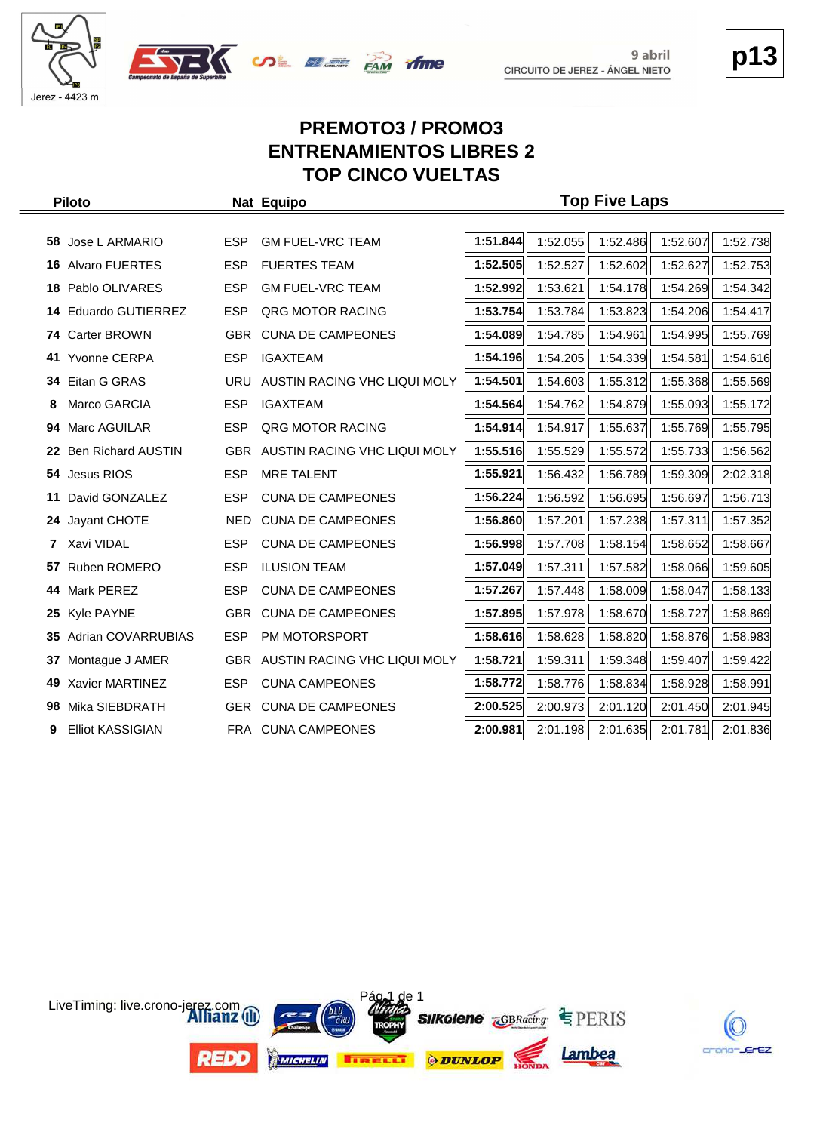



# **p13**

## **PREMOTO3 / PROMO3 ENTRENAMIENTOS LIBRES 2 TOP CINCO VUELTAS**

 $\infty$   $\mathbb{Z}$   $\mathbb{Z}$   $\mathbb{Z}$   $\mathbb{Z}$   $\mathbb{Z}$   $\mathbb{Z}$   $\mathbb{Z}$   $\mathbb{Z}$   $\mathbb{Z}$   $\mathbb{Z}$   $\mathbb{Z}$   $\mathbb{Z}$   $\mathbb{Z}$   $\mathbb{Z}$   $\mathbb{Z}$   $\mathbb{Z}$   $\mathbb{Z}$   $\mathbb{Z}$   $\mathbb{Z}$   $\mathbb{Z}$   $\mathbb{Z}$   $\mathbb{Z}$   $\mathbb{Z}$   $\mathbb{Z}$ 

| <b>Piloto</b> |                           |            | Nat Equipo                   | <b>Top Five Laps</b> |          |          |          |          |  |  |
|---------------|---------------------------|------------|------------------------------|----------------------|----------|----------|----------|----------|--|--|
|               |                           |            |                              |                      |          |          |          |          |  |  |
|               | 58 Jose L ARMARIO         | <b>ESP</b> | <b>GM FUEL-VRC TEAM</b>      | 1:51.844             | 1:52.055 | 1:52.486 | 1:52.607 | 1:52.738 |  |  |
|               | <b>16 Alvaro FUERTES</b>  | <b>ESP</b> | <b>FUERTES TEAM</b>          | 1:52.505             | 1:52.527 | 1:52.602 | 1:52.627 | 1:52.753 |  |  |
|               | 18 Pablo OLIVARES         | <b>ESP</b> | <b>GM FUEL-VRC TEAM</b>      | 1:52.992             | 1:53.621 | 1:54.178 | 1:54.269 | 1:54.342 |  |  |
| 14            | <b>Eduardo GUTIERREZ</b>  | <b>ESP</b> | QRG MOTOR RACING             | 1:53.754             | 1:53.784 | 1:53.823 | 1:54.206 | 1:54.417 |  |  |
|               | 74 Carter BROWN           | <b>GBR</b> | <b>CUNA DE CAMPEONES</b>     | 1:54.089             | 1:54.785 | 1:54.961 | 1:54.995 | 1:55.769 |  |  |
|               | 41 Yvonne CERPA           | <b>ESP</b> | <b>IGAXTEAM</b>              | 1:54.196             | 1:54.205 | 1:54.339 | 1:54.581 | 1:54.616 |  |  |
|               | 34 Eitan G GRAS           | <b>URU</b> | AUSTIN RACING VHC LIQUI MOLY | 1:54.501             | 1:54.603 | 1:55.312 | 1:55.368 | 1:55.569 |  |  |
| 8             | Marco GARCIA              | <b>ESP</b> | <b>IGAXTEAM</b>              | 1:54.564             | 1:54.762 | 1:54.879 | 1:55.093 | 1:55.172 |  |  |
| 94            | Marc AGUILAR              | <b>ESP</b> | QRG MOTOR RACING             | 1:54.914             | 1:54.917 | 1:55.637 | 1:55.769 | 1:55.795 |  |  |
| 22            | <b>Ben Richard AUSTIN</b> | <b>GBR</b> | AUSTIN RACING VHC LIQUI MOLY | 1:55.516             | 1:55.529 | 1:55.572 | 1:55.733 | 1:56.562 |  |  |
|               | 54 Jesus RIOS             | <b>ESP</b> | <b>MRE TALENT</b>            | 1:55.921             | 1:56.432 | 1:56.789 | 1:59.309 | 2:02.318 |  |  |
| 11            | David GONZALEZ            | <b>ESP</b> | <b>CUNA DE CAMPEONES</b>     | 1:56.224             | 1:56.592 | 1:56.695 | 1:56.697 | 1:56.713 |  |  |
| 24            | Jayant CHOTE              | <b>NED</b> | <b>CUNA DE CAMPEONES</b>     | 1:56.860             | 1:57.201 | 1:57.238 | 1:57.311 | 1:57.352 |  |  |
| $\mathbf{7}$  | Xavi VIDAL                | <b>ESP</b> | <b>CUNA DE CAMPEONES</b>     | 1:56.998             | 1:57.708 | 1:58.154 | 1:58.652 | 1:58.667 |  |  |
|               | 57 Ruben ROMERO           | <b>ESP</b> | <b>ILUSION TEAM</b>          | 1:57.049             | 1:57.311 | 1:57.582 | 1:58.066 | 1:59.605 |  |  |
| 44            | Mark PEREZ                | <b>ESP</b> | <b>CUNA DE CAMPEONES</b>     | 1:57.267             | 1:57.448 | 1:58.009 | 1:58.047 | 1:58.133 |  |  |
|               | 25 Kyle PAYNE             | <b>GBR</b> | <b>CUNA DE CAMPEONES</b>     | 1:57.895             | 1:57.978 | 1:58.670 | 1:58.727 | 1:58.869 |  |  |
| 35.           | <b>Adrian COVARRUBIAS</b> | <b>ESP</b> | PM MOTORSPORT                | 1:58.616             | 1:58.628 | 1:58.820 | 1:58.876 | 1:58.983 |  |  |
| 37            | Montague J AMER           | <b>GBR</b> | AUSTIN RACING VHC LIQUI MOLY | 1:58.721             | 1:59.311 | 1:59.348 | 1:59.407 | 1:59.422 |  |  |
| 49            | Xavier MARTINEZ           | <b>ESP</b> | <b>CUNA CAMPEONES</b>        | 1:58.772             | 1:58.776 | 1:58.834 | 1:58.928 | 1:58.991 |  |  |
| 98            | Mika SIEBDRATH            | GER        | <b>CUNA DE CAMPEONES</b>     | 2:00.525             | 2:00.973 | 2:01.120 | 2:01.450 | 2:01.945 |  |  |
| 9             | <b>Elliot KASSIGIAN</b>   |            | FRA CUNA CAMPEONES           | 2:00.981             | 2:01.198 | 2:01.635 | 2:01.781 | 2:01.836 |  |  |



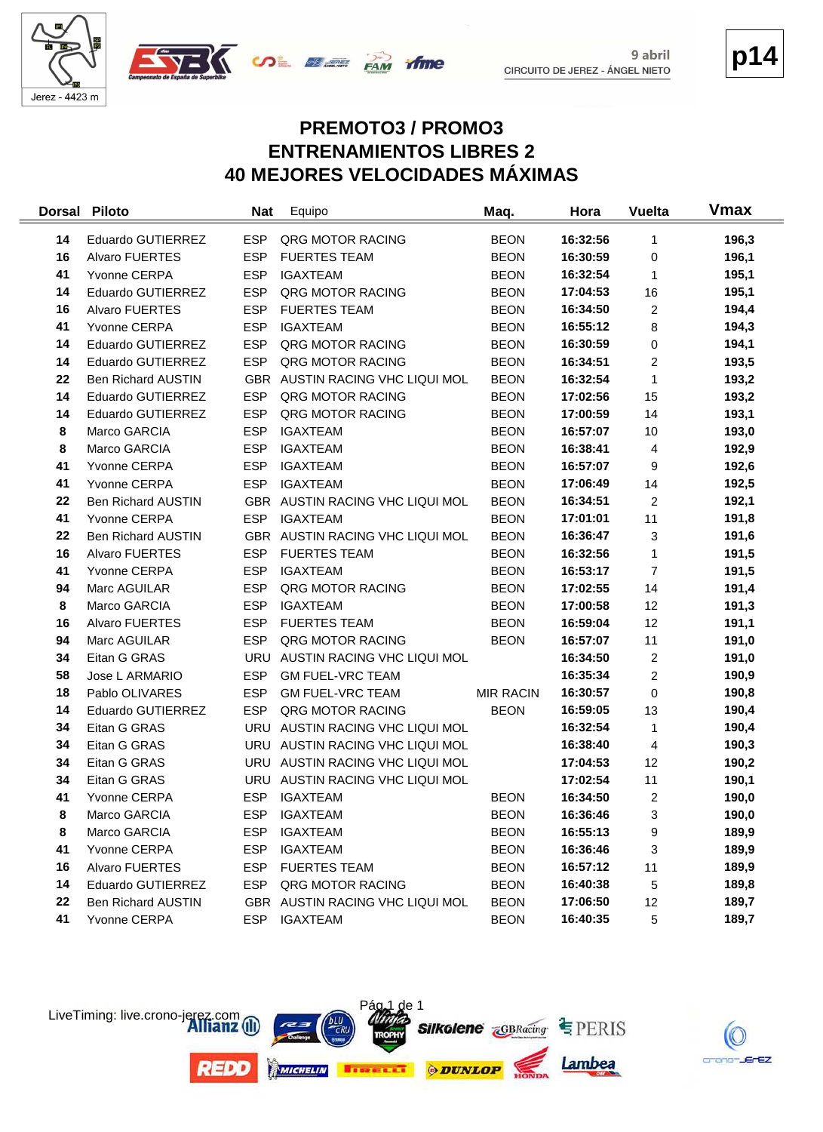





#### **PREMOTO3 / PROMO3 ENTRENAMIENTOS LIBRES 2 40 MEJORES VELOCIDADES MÁXIMAS**

| <b>Dorsal</b> | <b>Piloto</b>             | <b>Nat</b> | Equipo                          | Maq.             | Hora     | <b>Vuelta</b>  | Vmax  |
|---------------|---------------------------|------------|---------------------------------|------------------|----------|----------------|-------|
| 14            | Eduardo GUTIERREZ         | <b>ESP</b> | QRG MOTOR RACING                | <b>BEON</b>      | 16:32:56 | 1              | 196,3 |
| 16            | <b>Alvaro FUERTES</b>     | <b>ESP</b> | <b>FUERTES TEAM</b>             | <b>BEON</b>      | 16:30:59 | 0              | 196,1 |
| 41            | Yvonne CERPA              | <b>ESP</b> | <b>IGAXTEAM</b>                 | <b>BEON</b>      | 16:32:54 | 1              | 195,1 |
| 14            | Eduardo GUTIERREZ         | <b>ESP</b> | QRG MOTOR RACING                | <b>BEON</b>      | 17:04:53 | 16             | 195,1 |
| 16            | <b>Alvaro FUERTES</b>     | <b>ESP</b> | <b>FUERTES TEAM</b>             | <b>BEON</b>      | 16:34:50 | $\overline{2}$ | 194,4 |
| 41            | Yvonne CERPA              | <b>ESP</b> | <b>IGAXTEAM</b>                 | <b>BEON</b>      | 16:55:12 | 8              | 194,3 |
| 14            | Eduardo GUTIERREZ         | <b>ESP</b> | QRG MOTOR RACING                | <b>BEON</b>      | 16:30:59 | 0              | 194,1 |
| 14            | <b>Eduardo GUTIERREZ</b>  | <b>ESP</b> | QRG MOTOR RACING                | <b>BEON</b>      | 16:34:51 | $\overline{c}$ | 193,5 |
| 22            | <b>Ben Richard AUSTIN</b> |            | GBR AUSTIN RACING VHC LIQUI MOL | <b>BEON</b>      | 16:32:54 | 1              | 193,2 |
| 14            | Eduardo GUTIERREZ         | <b>ESP</b> | QRG MOTOR RACING                | <b>BEON</b>      | 17:02:56 | 15             | 193,2 |
| 14            | Eduardo GUTIERREZ         | <b>ESP</b> | QRG MOTOR RACING                | <b>BEON</b>      | 17:00:59 | 14             | 193,1 |
| 8             | Marco GARCIA              | <b>ESP</b> | <b>IGAXTEAM</b>                 | <b>BEON</b>      | 16:57:07 | 10             | 193,0 |
| 8             | Marco GARCIA              | <b>ESP</b> | <b>IGAXTEAM</b>                 | <b>BEON</b>      | 16:38:41 | 4              | 192,9 |
| 41            | Yvonne CERPA              | <b>ESP</b> | <b>IGAXTEAM</b>                 | <b>BEON</b>      | 16:57:07 | 9              | 192,6 |
| 41            | Yvonne CERPA              | <b>ESP</b> | <b>IGAXTEAM</b>                 | <b>BEON</b>      | 17:06:49 | 14             | 192,5 |
| 22            | <b>Ben Richard AUSTIN</b> |            | GBR AUSTIN RACING VHC LIQUI MOL | <b>BEON</b>      | 16:34:51 | $\overline{2}$ | 192,1 |
| 41            | Yvonne CERPA              | <b>ESP</b> | <b>IGAXTEAM</b>                 | <b>BEON</b>      | 17:01:01 | 11             | 191,8 |
| 22            | <b>Ben Richard AUSTIN</b> |            | GBR AUSTIN RACING VHC LIQUI MOL | <b>BEON</b>      | 16:36:47 | 3              | 191,6 |
| 16            | <b>Alvaro FUERTES</b>     | <b>ESP</b> | <b>FUERTES TEAM</b>             | <b>BEON</b>      | 16:32:56 | 1              | 191,5 |
| 41            | Yvonne CERPA              | <b>ESP</b> | <b>IGAXTEAM</b>                 | <b>BEON</b>      | 16:53:17 | $\overline{7}$ | 191,5 |
| 94            | Marc AGUILAR              | <b>ESP</b> | QRG MOTOR RACING                | <b>BEON</b>      | 17:02:55 | 14             | 191,4 |
| 8             | Marco GARCIA              | <b>ESP</b> | <b>IGAXTEAM</b>                 | <b>BEON</b>      | 17:00:58 | 12             | 191,3 |
| 16            | Alvaro FUERTES            | <b>ESP</b> | <b>FUERTES TEAM</b>             | <b>BEON</b>      | 16:59:04 | 12             | 191,1 |
| 94            | Marc AGUILAR              | <b>ESP</b> | QRG MOTOR RACING                | <b>BEON</b>      | 16:57:07 | 11             | 191,0 |
| 34            | Eitan G GRAS              | <b>URU</b> | AUSTIN RACING VHC LIQUI MOL     |                  | 16:34:50 | $\overline{c}$ | 191,0 |
| 58            | Jose L ARMARIO            | <b>ESP</b> | <b>GM FUEL-VRC TEAM</b>         |                  | 16:35:34 | 2              | 190,9 |
| 18            | Pablo OLIVARES            | <b>ESP</b> | <b>GM FUEL-VRC TEAM</b>         | <b>MIR RACIN</b> | 16:30:57 | 0              | 190,8 |
| 14            | Eduardo GUTIERREZ         | <b>ESP</b> | QRG MOTOR RACING                | <b>BEON</b>      | 16:59:05 | 13             | 190,4 |
| 34            | Eitan G GRAS              |            | URU AUSTIN RACING VHC LIQUI MOL |                  | 16:32:54 | $\mathbf{1}$   | 190,4 |
| 34            | Eitan G GRAS              |            | URU AUSTIN RACING VHC LIQUI MOL |                  | 16:38:40 | 4              | 190,3 |
| 34            | Eitan G GRAS              |            | URU AUSTIN RACING VHC LIQUI MOL |                  | 17:04:53 | 12             | 190,2 |
| 34            | Eitan G GRAS              |            | URU AUSTIN RACING VHC LIQUI MOL |                  | 17:02:54 | 11             | 190,1 |
| 41            | Yvonne CERPA              | <b>ESP</b> | <b>IGAXTEAM</b>                 | <b>BEON</b>      | 16:34:50 | $\overline{c}$ | 190,0 |
| 8             | Marco GARCIA              | <b>ESP</b> | <b>IGAXTEAM</b>                 | <b>BEON</b>      | 16:36:46 | 3              | 190,0 |
| 8             | Marco GARCIA              | <b>ESP</b> | <b>IGAXTEAM</b>                 | <b>BEON</b>      | 16:55:13 | 9              | 189,9 |
| 41            | Yvonne CERPA              | <b>ESP</b> | <b>IGAXTEAM</b>                 | <b>BEON</b>      | 16:36:46 | 3              | 189,9 |
| 16            | Alvaro FUERTES            | <b>ESP</b> | <b>FUERTES TEAM</b>             | <b>BEON</b>      | 16:57:12 | 11             | 189,9 |
| 14            | Eduardo GUTIERREZ         | <b>ESP</b> | QRG MOTOR RACING                | <b>BEON</b>      | 16:40:38 | 5              | 189,8 |
| 22            | <b>Ben Richard AUSTIN</b> |            | GBR AUSTIN RACING VHC LIQUI MOL | <b>BEON</b>      | 17:06:50 | 12             | 189,7 |
| 41            | Yvonne CERPA              | <b>ESP</b> | <b>IGAXTEAM</b>                 | <b>BEON</b>      | 16:40:35 | 5              | 189,7 |